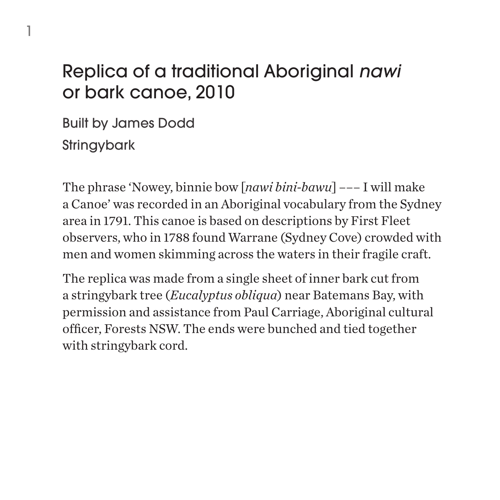## Replica of a traditional Aboriginal *nawi*  or bark canoe, 2010

Built by James Dodd **Stringybark** 

1

The phrase 'Nowey, binnie bow [*nawi bini-bawu*] ––– I will make a Canoe' was recorded in an Aboriginal vocabulary from the Sydney area in 1791. This canoe is based on descriptions by First Fleet observers, who in 1788 found Warrane (Sydney Cove) crowded with men and women skimming across the waters in their fragile craft.

The replica was made from a single sheet of inner bark cut from a stringybark tree (*Eucalyptus obliqua*) near Batemans Bay, with permission and assistance from Paul Carriage, Aboriginal cultural officer, Forests NSW. The ends were bunched and tied together with stringybark cord.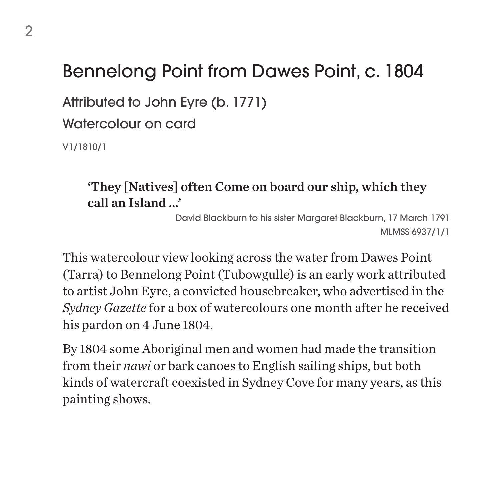## Bennelong Point from Dawes Point, c. 1804

Attributed to John Eyre (b. 1771)

Watercolour on card

V1/1810/1

#### 'They [Natives] often Come on board our ship, which they call an Island …'

David Blackburn to his sister Margaret Blackburn, 17 March 1791 MLMSS 6937/1/1

This watercolour view looking across the water from Dawes Point (Tarra) to Bennelong Point (Tubowgulle) is an early work attributed to artist John Eyre, a convicted housebreaker, who advertised in the *Sydney Gazette* for a box of watercolours one month after he received his pardon on 4 June 1804.

By 1804 some Aboriginal men and women had made the transition from their *nawi* or bark canoes to English sailing ships, but both kinds of watercraft coexisted in Sydney Cove for many years, as this painting shows.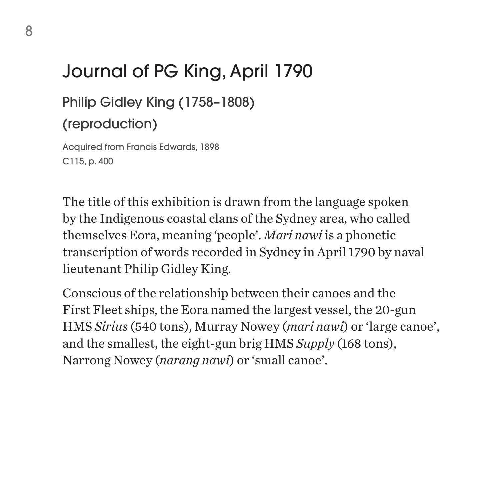# Journal of PG King, April 1790

#### Philip Gidley King (1758–1808)

#### (reproduction)

Acquired from Francis Edwards, 1898 C115, p. 400

The title of this exhibition is drawn from the language spoken by the Indigenous coastal clans of the Sydney area, who called themselves Eora, meaning 'people'. *Mari nawi* is a phonetic transcription of words recorded in Sydney in April 1790 by naval lieutenant Philip Gidley King.

Conscious of the relationship between their canoes and the First Fleet ships, the Eora named the largest vessel, the 20-gun HMS *Sirius* (540 tons), Murray Nowey (*mari nawi*) or 'large canoe', and the smallest, the eight-gun brig HMS *Supply* (168 tons), Narrong Nowey (*narang nawi*) or 'small canoe'.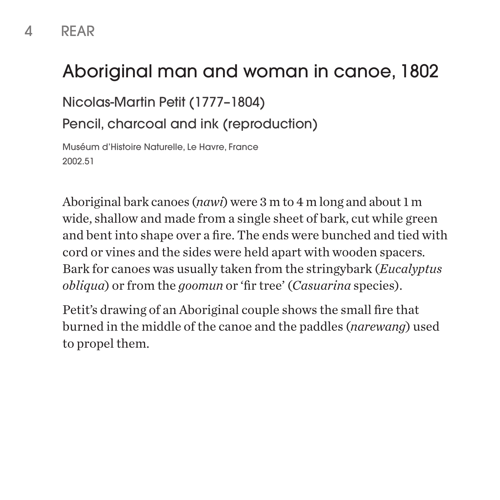#### 4 REAR

## Aboriginal man and woman in canoe, 1802

Nicolas-Martin Petit (1777–1804)

Pencil, charcoal and ink (reproduction)

Muséum d'Histoire Naturelle, Le Havre, France 2002.51

Aboriginal bark canoes (*nawi*) were 3 m to 4 m long and about 1 m wide, shallow and made from a single sheet of bark, cut while green and bent into shape over a fire. The ends were bunched and tied with cord or vines and the sides were held apart with wooden spacers. Bark for canoes was usually taken from the stringybark (*Eucalyptus obliqua*) or from the *goomun* or 'fir tree' (*Casuarina* species).

Petit's drawing of an Aboriginal couple shows the small fire that burned in the middle of the canoe and the paddles (*narewang*) used to propel them.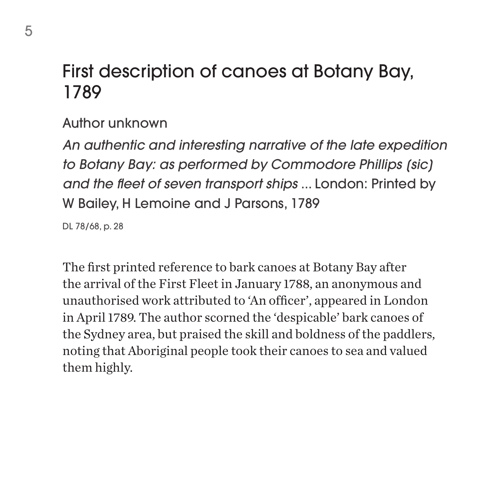### First description of canoes at Botany Bay, 1789

Author unknown

*An authentic and interesting narrative of the late expedition to Botany Bay: as performed by Commodore Phillips [sic] and the fleet of seven transport ships* ... London: Printed by W Bailey, H Lemoine and J Parsons, 1789

DL 78/68, p. 28

The first printed reference to bark canoes at Botany Bay after the arrival of the First Fleet in January 1788, an anonymous and unauthorised work attributed to 'An officer', appeared in London in April 1789. The author scorned the 'despicable' bark canoes of the Sydney area, but praised the skill and boldness of the paddlers, noting that Aboriginal people took their canoes to sea and valued them highly.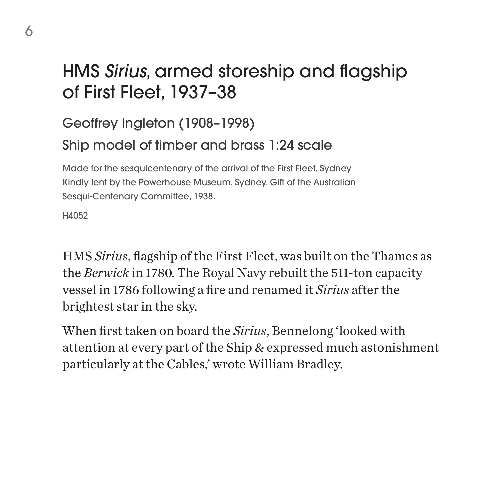## HMS *Sirius*, armed storeship and flagship of First Fleet, 1937–38

Geoffrey Ingleton (1908–1998)

Ship model of timber and brass 1:24 scale

Made for the sesquicentenary of the arrival of the First Fleet, Sydney Kindly lent by the Powerhouse Museum, Sydney. Gift of the Australian Sesqui-Centenary Committee, 1938.

H4052

HMS *Sirius*, flagship of the First Fleet, was built on the Thames as the *Berwick* in 1780. The Royal Navy rebuilt the 511-ton capacity vessel in 1786 following a fire and renamed it *Sirius* after the brightest star in the sky.

When first taken on board the *Sirius*, Bennelong 'looked with attention at every part of the Ship & expressed much astonishment particularly at the Cables,' wrote William Bradley.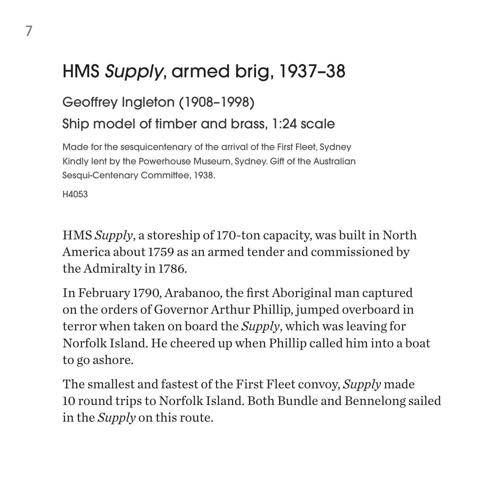# HMS *Supply*, armed brig, 1937–38

#### Geoffrey Ingleton (1908–1998)

Ship model of timber and brass, 1:24 scale

Made for the sesquicentenary of the arrival of the First Fleet, Sydney Kindly lent by the Powerhouse Museum, Sydney. Gift of the Australian Sesqui-Centenary Committee, 1938.

H4053

HMS *Supply*, a storeship of 170-ton capacity, was built in North America about 1759 as an armed tender and commissioned by the Admiralty in 1786.

In February 1790, Arabanoo, the first Aboriginal man captured on the orders of Governor Arthur Phillip, jumped overboard in terror when taken on board the *Supply*, which was leaving for Norfolk Island. He cheered up when Phillip called him into a boat to go ashore.

The smallest and fastest of the First Fleet convoy, *Supply* made 10 round trips to Norfolk Island. Both Bundle and Bennelong sailed in the *Supply* on this route.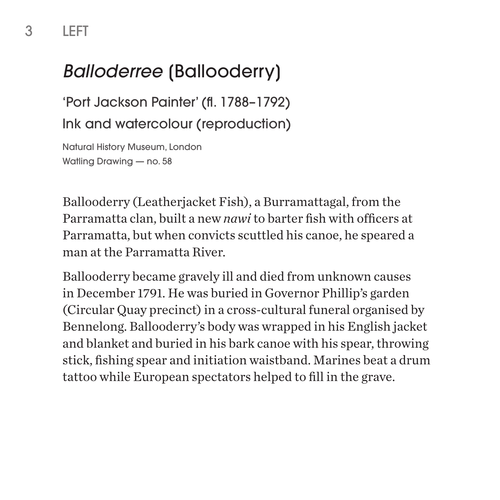# *Balloderree* [Ballooderry]

'Port Jackson Painter' (fl. 1788–1792) Ink and watercolour (reproduction)

Natural History Museum, London Watling Drawing — no. 58

Ballooderry (Leatherjacket Fish), a Burramattagal, from the Parramatta clan, built a new *nawi* to barter fish with officers at Parramatta, but when convicts scuttled his canoe, he speared a man at the Parramatta River.

Ballooderry became gravely ill and died from unknown causes in December 1791. He was buried in Governor Phillip's garden (Circular Quay precinct) in a cross-cultural funeral organised by Bennelong. Ballooderry's body was wrapped in his English jacket and blanket and buried in his bark canoe with his spear, throwing stick, fishing spear and initiation waistband. Marines beat a drum tattoo while European spectators helped to fill in the grave.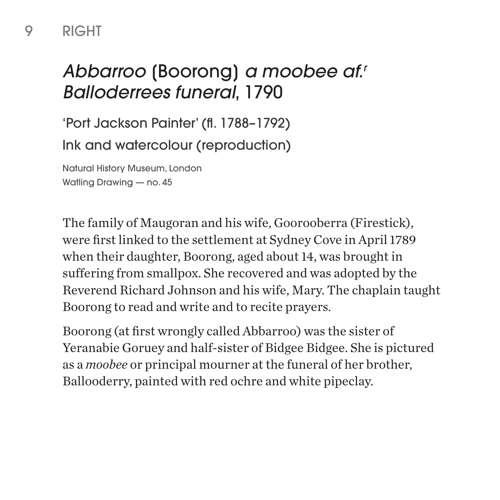# *Abbarroo* [Boorong] *a moobee af.r Balloderrees funeral*, 1790

'Port Jackson Painter' (fl. 1788–1792) Ink and watercolour (reproduction)

Natural History Museum, London Watling Drawing — no. 45

The family of Maugoran and his wife, Goorooberra (Firestick), were first linked to the settlement at Sydney Cove in April 1789 when their daughter, Boorong, aged about 14, was brought in suffering from smallpox. She recovered and was adopted by the Reverend Richard Johnson and his wife, Mary. The chaplain taught Boorong to read and write and to recite prayers.

Boorong (at first wrongly called Abbarroo) was the sister of Yeranabie Goruey and half-sister of Bidgee Bidgee. She is pictured as a *moobee* or principal mourner at the funeral of her brother, Ballooderry, painted with red ochre and white pipeclay.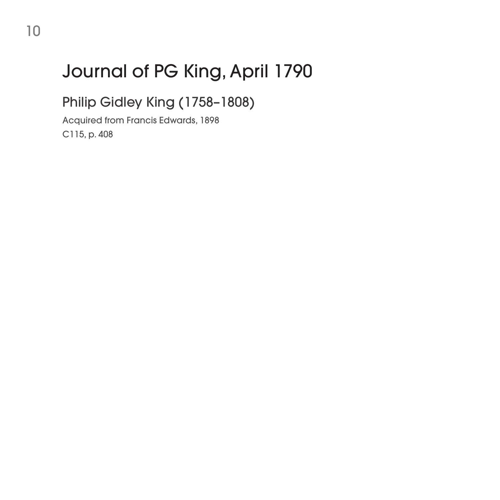# Journal of PG King, April 1790

Philip Gidley King (1758–1808)

Acquired from Francis Edwards, 1898 C115, p. 408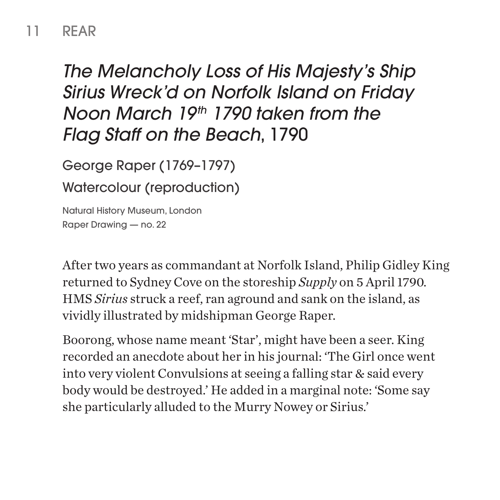#### 11 REAR

## *The Melancholy Loss of His Majesty's Ship Sirius Wreck'd on Norfolk Island on Friday Noon March 19th 1790 taken from the Flag Staff on the Beach*, 1790

George Raper (1769–1797)

Watercolour (reproduction)

Natural History Museum, London Raper Drawing — no. 22

After two years as commandant at Norfolk Island, Philip Gidley King returned to Sydney Cove on the storeship *Supply* on 5 April 1790. HMS *Sirius* struck a reef, ran aground and sank on the island, as vividly illustrated by midshipman George Raper.

Boorong, whose name meant 'Star', might have been a seer. King recorded an anecdote about her in his journal: 'The Girl once went into very violent Convulsions at seeing a falling star & said every body would be destroyed.' He added in a marginal note: 'Some say she particularly alluded to the Murry Nowey or Sirius.'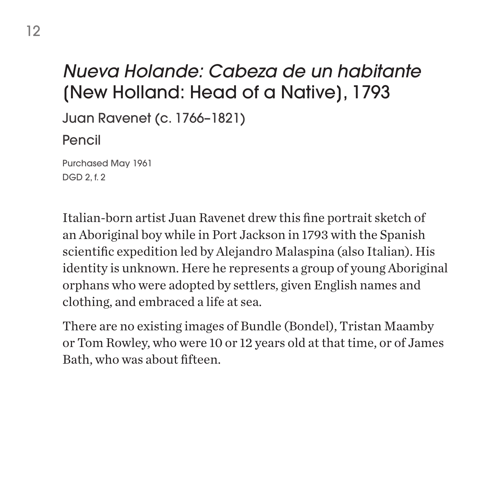## *Nueva Holande: Cabeza de un habitante* [New Holland: Head of a Native], 1793

Juan Ravenet (c. 1766–1821)

Pencil

Purchased May 1961 DGD 2, f. 2

Italian-born artist Juan Ravenet drew this fine portrait sketch of an Aboriginal boy while in Port Jackson in 1793 with the Spanish scientific expedition led by Alejandro Malaspina (also Italian). His identity is unknown. Here he represents a group of young Aboriginal orphans who were adopted by settlers, given English names and clothing, and embraced a life at sea.

There are no existing images of Bundle (Bondel), Tristan Maamby or Tom Rowley, who were 10 or 12 years old at that time, or of James Bath, who was about fifteen.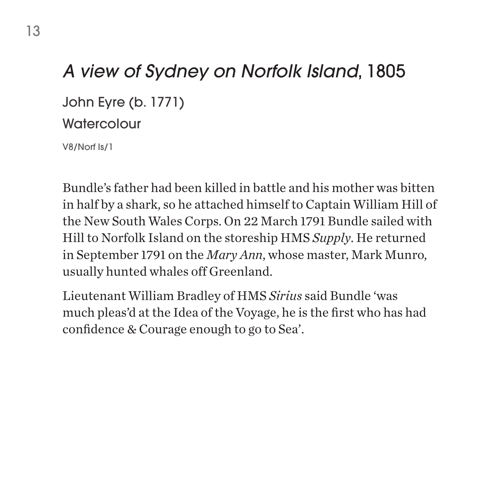#### *A view of Sydney on Norfolk Island*, 1805

John Eyre (b. 1771)

#### **Watercolour**

V8/Norf Is/1

Bundle's father had been killed in battle and his mother was bitten in half by a shark, so he attached himself to Captain William Hill of the New South Wales Corps. On 22 March 1791 Bundle sailed with Hill to Norfolk Island on the storeship HMS *Supply*. He returned in September 1791 on the *Mary Ann*, whose master, Mark Munro, usually hunted whales off Greenland.

Lieutenant William Bradley of HMS *Sirius* said Bundle 'was much pleas'd at the Idea of the Voyage, he is the first who has had confidence & Courage enough to go to Sea'.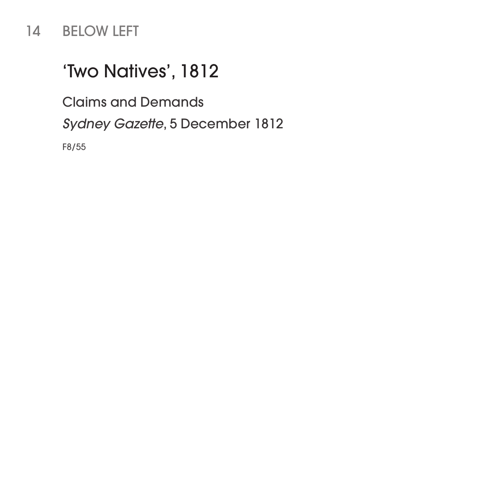#### 14 BELOW LEFT

## 'Two Natives', 1812

Claims and Demands

*Sydney Gazette*, 5 December 1812

F8/55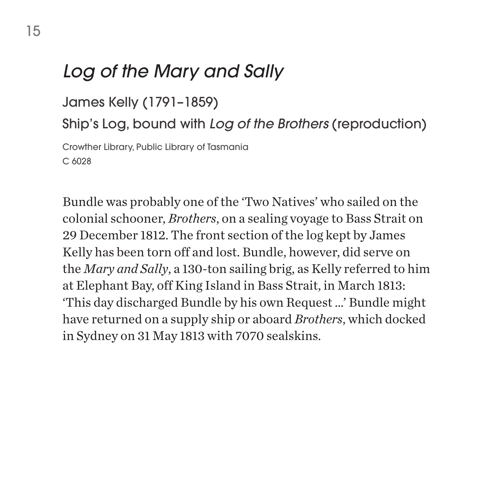#### *Log of the Mary and Sally*

James Kelly (1791–1859)

Ship's Log, bound with *Log of the Brothers* (reproduction)

Crowther Library, Public Library of Tasmania C 6028

Bundle was probably one of the 'Two Natives' who sailed on the colonial schooner, *Brothers*, on a sealing voyage to Bass Strait on 29 December 1812. The front section of the log kept by James Kelly has been torn off and lost. Bundle, however, did serve on the *Mary and Sally*, a 130-ton sailing brig, as Kelly referred to him at Elephant Bay, off King Island in Bass Strait, in March 1813: 'This day discharged Bundle by his own Request …' Bundle might have returned on a supply ship or aboard *Brothers*, which docked in Sydney on 31 May 1813 with 7070 sealskins.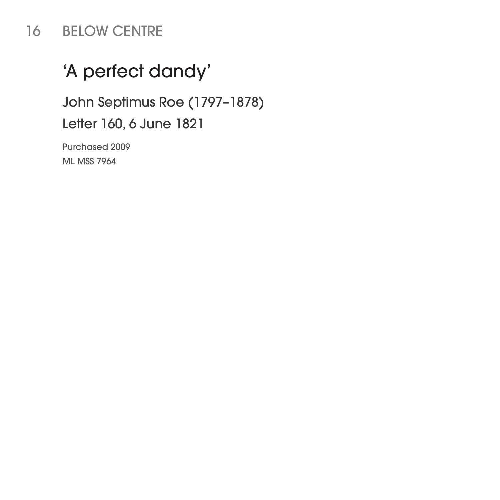#### 16 BELOW CENTRE

## 'A perfect dandy'

John Septimus Roe (1797–1878)

Letter 160, 6 June 1821

Purchased 2009 ML MSS 7964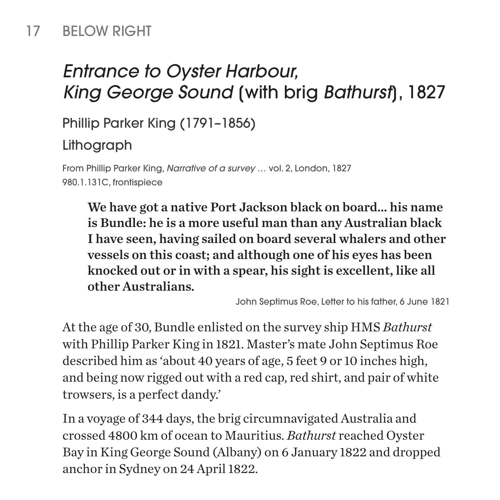#### 17 BELOW RIGHT

# *Entrance to Oyster Harbour, King George Sound* [with brig *Bathurst*], 1827

Phillip Parker King (1791–1856)

Lithograph

From Phillip Parker King, *Narrative of a survey* … vol. 2, London, 1827 980.1.131C, frontispiece

We have got a native Port Jackson black on board… his name is Bundle: he is a more useful man than any Australian black I have seen, having sailed on board several whalers and other vessels on this coast; and although one of his eyes has been knocked out or in with a spear, his sight is excellent, like all other Australians.

John Septimus Roe, Letter to his father, 6 June 1821

At the age of 30, Bundle enlisted on the survey ship HMS *Bathurst*  with Phillip Parker King in 1821. Master's mate John Septimus Roe described him as 'about 40 years of age, 5 feet 9 or 10 inches high, and being now rigged out with a red cap, red shirt, and pair of white trowsers, is a perfect dandy.'

In a voyage of 344 days, the brig circumnavigated Australia and crossed 4800 km of ocean to Mauritius. *Bathurst* reached Oyster Bay in King George Sound (Albany) on 6 January 1822 and dropped anchor in Sydney on 24 April 1822.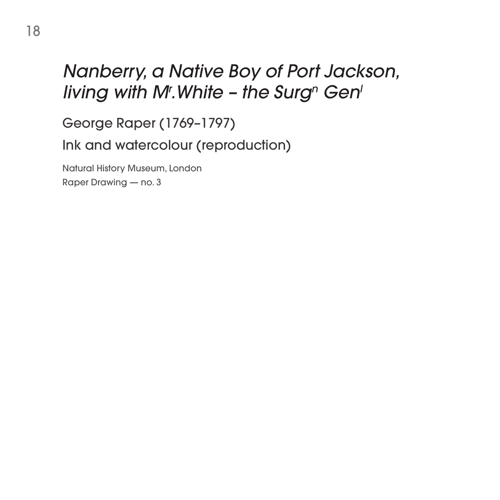## *Nanberry, a Native Boy of Port Jackson, living with M<sup>r</sup>.White - the Surg<sup>n</sup> Gen<sup>l</sup>*

George Raper (1769–1797) Ink and watercolour (reproduction)

Natural History Museum, London Raper Drawing — no. 3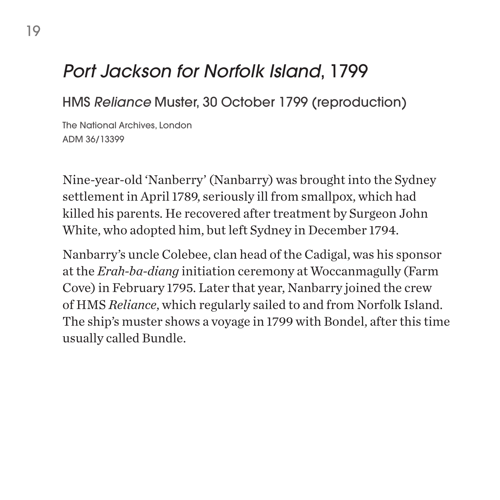#### *Port Jackson for Norfolk Island*, 1799

#### HMS *Reliance* Muster, 30 October 1799 (reproduction)

The National Archives, London ADM 36/13399

Nine-year-old 'Nanberry' (Nanbarry) was brought into the Sydney settlement in April 1789, seriously ill from smallpox, which had killed his parents. He recovered after treatment by Surgeon John White, who adopted him, but left Sydney in December 1794.

Nanbarry's uncle Colebee, clan head of the Cadigal, was his sponsor at the *Erah-ba-diang* initiation ceremony at Woccanmagully (Farm Cove) in February 1795. Later that year, Nanbarry joined the crew of HMS *Reliance*, which regularly sailed to and from Norfolk Island. The ship's muster shows a voyage in 1799 with Bondel, after this time usually called Bundle.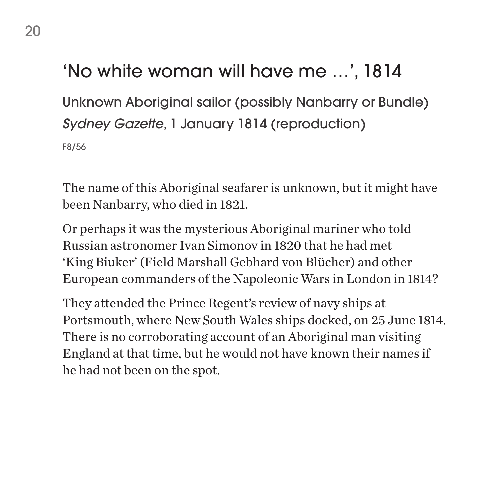# 'No white woman will have me …', 1814

Unknown Aboriginal sailor (possibly Nanbarry or Bundle) *Sydney Gazette*, 1 January 1814 (reproduction) F8/56

The name of this Aboriginal seafarer is unknown, but it might have been Nanbarry, who died in 1821.

Or perhaps it was the mysterious Aboriginal mariner who told Russian astronomer Ivan Simonov in 1820 that he had met 'King Biuker' (Field Marshall Gebhard von Blücher) and other European commanders of the Napoleonic Wars in London in 1814?

They attended the Prince Regent's review of navy ships at Portsmouth, where New South Wales ships docked, on 25 June 1814. There is no corroborating account of an Aboriginal man visiting England at that time, but he would not have known their names if he had not been on the spot.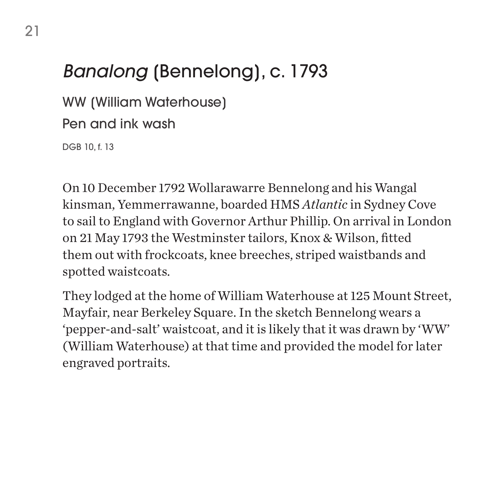# *Banalong* [Bennelong], c. 1793

WW [William Waterhouse]

Pen and ink wash

DGB 10, f. 13

On 10 December 1792 Wollarawarre Bennelong and his Wangal kinsman, Yemmerrawanne, boarded HMS *Atlantic* in Sydney Cove to sail to England with Governor Arthur Phillip. On arrival in London on 21 May 1793 the Westminster tailors, Knox & Wilson, fitted them out with frockcoats, knee breeches, striped waistbands and spotted waistcoats.

They lodged at the home of William Waterhouse at 125 Mount Street, Mayfair, near Berkeley Square. In the sketch Bennelong wears a 'pepper-and-salt' waistcoat, and it is likely that it was drawn by 'WW' (William Waterhouse) at that time and provided the model for later engraved portraits.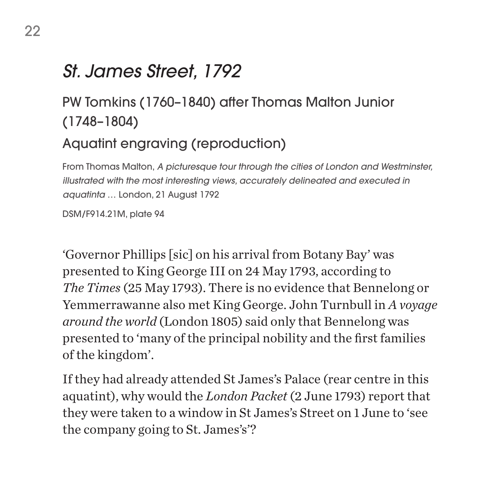### *St. James Street, 1792*

## PW Tomkins (1760–1840) after Thomas Malton Junior (1748–1804)

#### Aquatint engraving (reproduction)

From Thomas Malton, *A picturesque tour through the cities of London and Westminster, illustrated with the most interesting views, accurately delineated and executed in aquatinta* … London, 21 August 1792

DSM/F914.21M, plate 94

'Governor Phillips [sic] on his arrival from Botany Bay' was presented to King George III on 24 May 1793, according to *The Times* (25 May 1793). There is no evidence that Bennelong or Yemmerrawanne also met King George. John Turnbull in *A voyage around the world* (London 1805) said only that Bennelong was presented to 'many of the principal nobility and the first families of the kingdom'.

If they had already attended St James's Palace (rear centre in this aquatint), why would the *London Packet* (2 June 1793) report that they were taken to a window in St James's Street on 1 June to 'see the company going to St. James's'?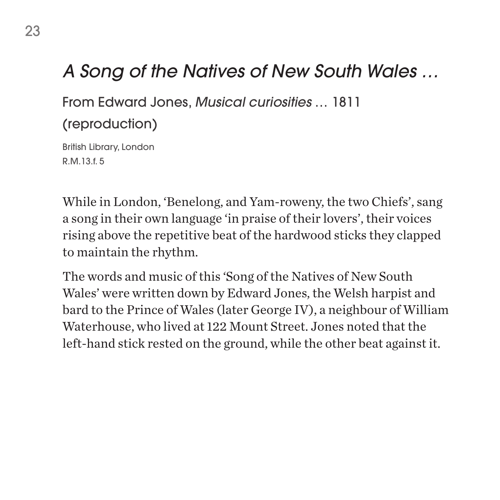### *A Song of the Natives of New South Wales …*

From Edward Jones, *Musical curiosities* … 1811

(reproduction)

British Library, London R.M.13.f. 5

While in London, 'Benelong, and Yam-roweny, the two Chiefs', sang a song in their own language 'in praise of their lovers', their voices rising above the repetitive beat of the hardwood sticks they clapped to maintain the rhythm.

The words and music of this 'Song of the Natives of New South Wales' were written down by Edward Jones, the Welsh harpist and bard to the Prince of Wales (later George IV), a neighbour of William Waterhouse, who lived at 122 Mount Street. Jones noted that the left-hand stick rested on the ground, while the other beat against it.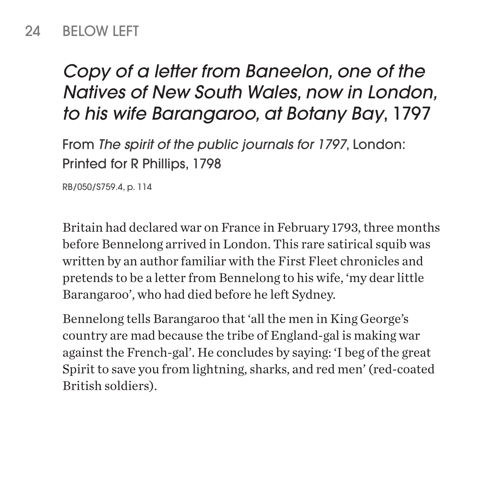#### 24 BELOW LEFT

# *Copy of a letter from Baneelon, one of the Natives of New South Wales, now in London, to his wife Barangaroo, at Botany Bay*, 1797

From *The spirit of the public journals for 1797*, London: Printed for R Phillips, 1798

RB/050/S759.4, p. 114

Britain had declared war on France in February 1793, three months before Bennelong arrived in London. This rare satirical squib was written by an author familiar with the First Fleet chronicles and pretends to be a letter from Bennelong to his wife, 'my dear little Barangaroo', who had died before he left Sydney.

Bennelong tells Barangaroo that 'all the men in King George's country are mad because the tribe of England-gal is making war against the French-gal'. He concludes by saying: 'I beg of the great Spirit to save you from lightning, sharks, and red men' (red-coated British soldiers).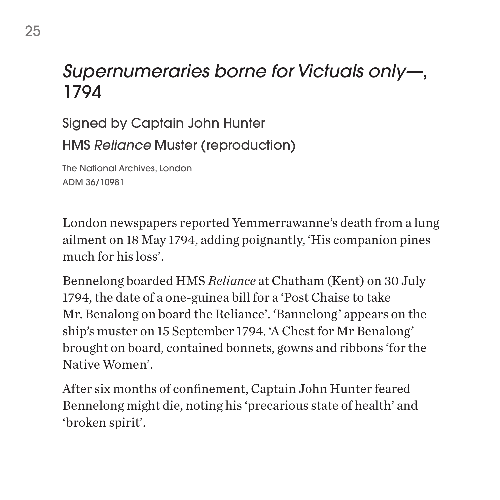### *Supernumeraries borne for Victuals only—*, 1794

Signed by Captain John Hunter HMS *Reliance* Muster (reproduction)

The National Archives, London ADM 36/10981

London newspapers reported Yemmerrawanne's death from a lung ailment on 18 May 1794, adding poignantly, 'His companion pines much for his loss'.

Bennelong boarded HMS *Reliance* at Chatham (Kent) on 30 July 1794, the date of a one-guinea bill for a 'Post Chaise to take Mr. Benalong on board the Reliance'. 'Bannelong' appears on the ship's muster on 15 September 1794. 'A Chest for Mr Benalong' brought on board, contained bonnets, gowns and ribbons 'for the Native Women'.

After six months of confinement, Captain John Hunter feared Bennelong might die, noting his 'precarious state of health' and 'broken spirit'.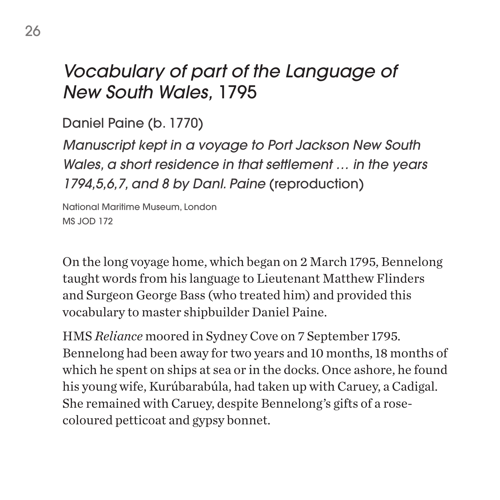## *Vocabulary of part of the Language of New South Wales,* 1795

Daniel Paine (b. 1770)

*Manuscript kept in a voyage to Port Jackson New South Wales, a short residence in that settlement … in the years 1794,5,6,7, and 8 by Danl. Paine* (reproduction)

National Maritime Museum, London MS JOD 172

On the long voyage home, which began on 2 March 1795, Bennelong taught words from his language to Lieutenant Matthew Flinders and Surgeon George Bass (who treated him) and provided this vocabulary to master shipbuilder Daniel Paine.

HMS *Reliance* moored in Sydney Cove on 7 September 1795. Bennelong had been away for two years and 10 months, 18 months of which he spent on ships at sea or in the docks. Once ashore, he found his young wife, Kurúbarabúla, had taken up with Caruey, a Cadigal. She remained with Caruey, despite Bennelong's gifts of a rosecoloured petticoat and gypsy bonnet.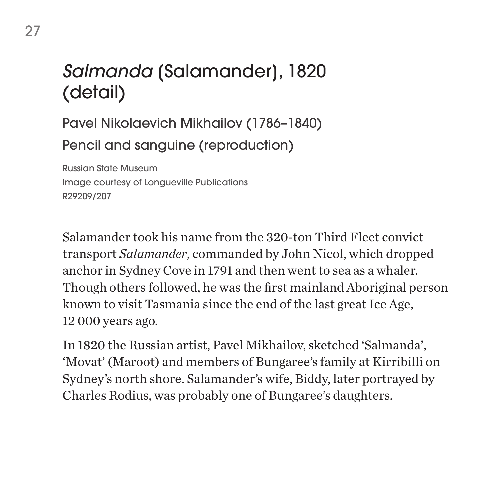# *Salmanda* [Salamander], 1820 (detail)

Pavel Nikolaevich Mikhailov (1786–1840) Pencil and sanguine (reproduction)

Russian State Museum Image courtesy of Longueville Publications R29209/207

Salamander took his name from the 320-ton Third Fleet convict transport *Salamander*, commanded by John Nicol, which dropped anchor in Sydney Cove in 1791 and then went to sea as a whaler. Though others followed, he was the first mainland Aboriginal person known to visit Tasmania since the end of the last great Ice Age, 12 000 years ago.

In 1820 the Russian artist, Pavel Mikhailov, sketched 'Salmanda', 'Movat' (Maroot) and members of Bungaree's family at Kirribilli on Sydney's north shore. Salamander's wife, Biddy, later portrayed by Charles Rodius, was probably one of Bungaree's daughters.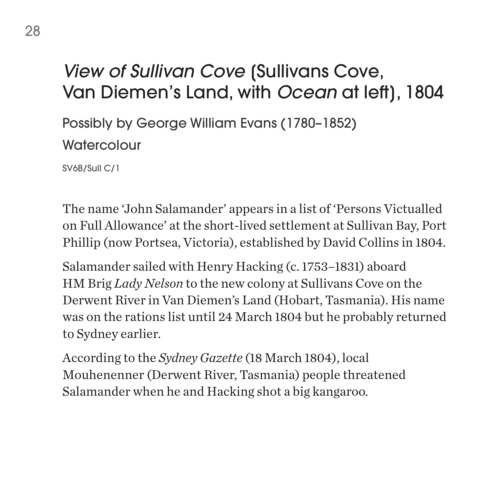### *View of Sullivan Cove* [Sullivans Cove, Van Diemen's Land, with *Ocean* at left], 1804

Possibly by George William Evans (1780–1852) **Watercolour** 

SV6B/Sull C/1

The name 'John Salamander' appears in a list of 'Persons Victualled on Full Allowance' at the short-lived settlement at Sullivan Bay, Port Phillip (now Portsea, Victoria), established by David Collins in 1804.

Salamander sailed with Henry Hacking (c. 1753–1831) aboard HM Brig *Lady Nelson* to the new colony at Sullivans Cove on the Derwent River in Van Diemen's Land (Hobart, Tasmania). His name was on the rations list until 24 March 1804 but he probably returned to Sydney earlier.

According to the *Sydney Gazette* (18 March 1804), local Mouhenenner (Derwent River, Tasmania) people threatened Salamander when he and Hacking shot a big kangaroo.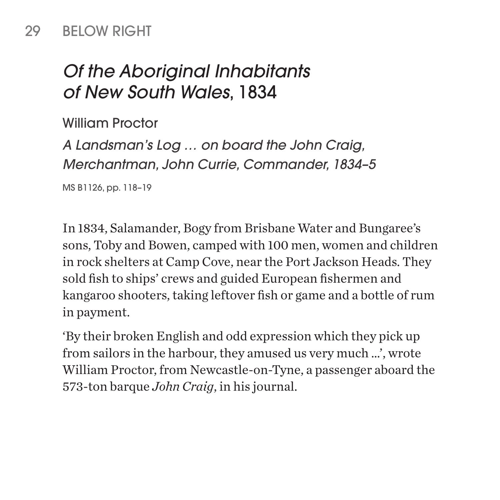#### 29 BELOW RIGHT

# *Of the Aboriginal Inhabitants of New South Wales*, 1834

William Proctor

*A Landsman's Log … on board the John Craig, Merchantman, John Currie, Commander, 1834–5*

MS B1126, pp. 118–19

In 1834, Salamander, Bogy from Brisbane Water and Bungaree's sons, Toby and Bowen, camped with 100 men, women and children in rock shelters at Camp Cove, near the Port Jackson Heads. They sold fish to ships' crews and guided European fishermen and kangaroo shooters, taking leftover fish or game and a bottle of rum in payment.

'By their broken English and odd expression which they pick up from sailors in the harbour, they amused us very much …', wrote William Proctor, from Newcastle-on-Tyne, a passenger aboard the 573-ton barque *John Craig*, in his journal.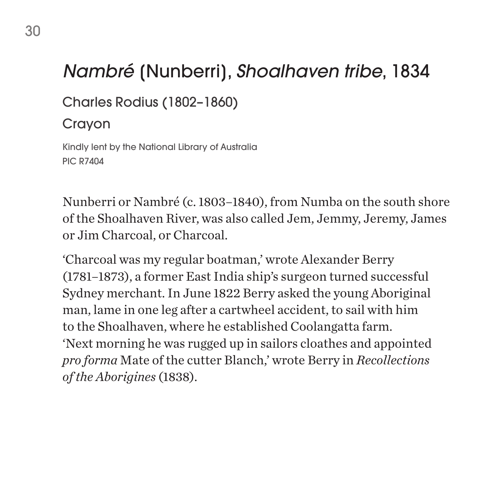# *Nambré* [Nunberri], *Shoalhaven tribe*, 1834

Charles Rodius (1802–1860)

#### Crayon

Kindly lent by the National Library of Australia PIC R7404

Nunberri or Nambré (c. 1803–1840), from Numba on the south shore of the Shoalhaven River, was also called Jem, Jemmy, Jeremy, James or Jim Charcoal, or Charcoal.

'Charcoal was my regular boatman,' wrote Alexander Berry (1781–1873), a former East India ship's surgeon turned successful Sydney merchant. In June 1822 Berry asked the young Aboriginal man, lame in one leg after a cartwheel accident, to sail with him to the Shoalhaven, where he established Coolangatta farm. 'Next morning he was rugged up in sailors cloathes and appointed *pro forma* Mate of the cutter Blanch,' wrote Berry in *Recollections of the Aborigines* (1838).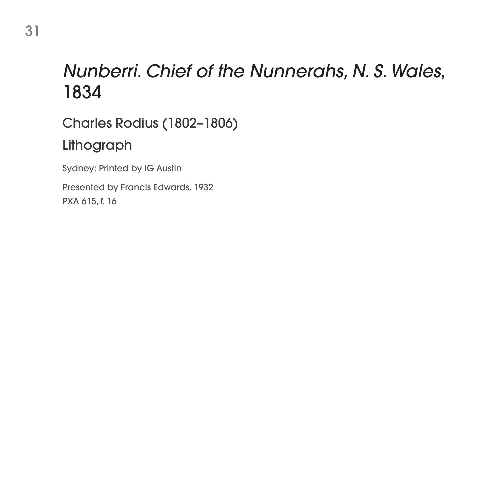### *Nunberri. Chief of the Nunnerahs, N. S. Wales*, 1834

Charles Rodius (1802–1806)

#### Lithograph

Sydney: Printed by IG Austin

Presented by Francis Edwards, 1932 PXA 615, f. 16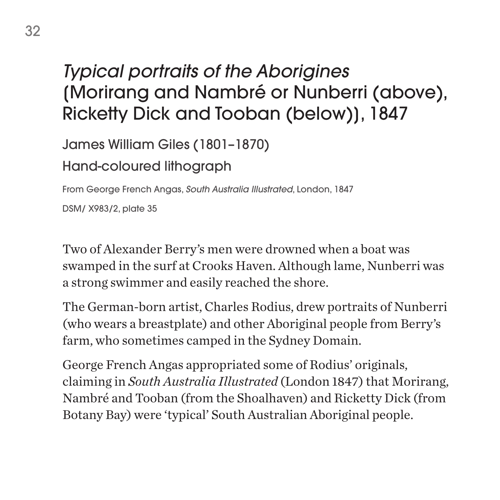# *Typical portraits of the Aborigines* [Morirang and Nambré or Nunberri (above), Ricketty Dick and Tooban (below)], 1847

James William Giles (1801–1870)

Hand-coloured lithograph

From George French Angas, *South Australia Illustrated*, London, 1847

DSM/ X983/2, plate 35

Two of Alexander Berry's men were drowned when a boat was swamped in the surf at Crooks Haven. Although lame, Nunberri was a strong swimmer and easily reached the shore.

The German-born artist, Charles Rodius, drew portraits of Nunberri (who wears a breastplate) and other Aboriginal people from Berry's farm, who sometimes camped in the Sydney Domain.

George French Angas appropriated some of Rodius' originals, claiming in *South Australia Illustrated* (London 1847) that Morirang, Nambré and Tooban (from the Shoalhaven) and Ricketty Dick (from Botany Bay) were 'typical' South Australian Aboriginal people.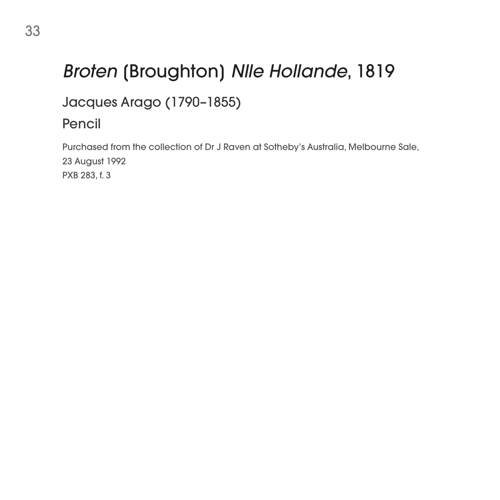# *Broten* [Broughton] *Nlle Hollande*, 1819

Jacques Arago (1790–1855)

#### Pencil

Purchased from the collection of Dr J Raven at Sotheby's Australia, Melbourne Sale, 23 August 1992 PXB 283, f. 3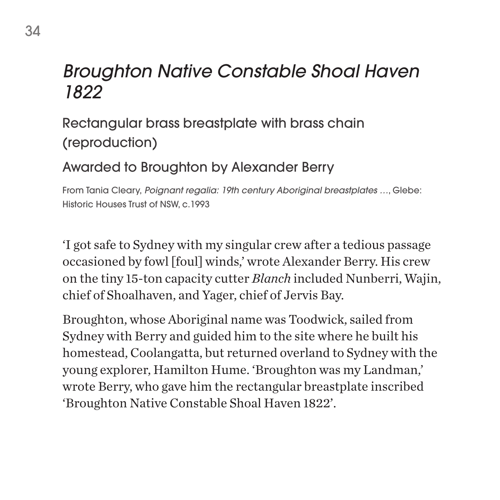### *Broughton Native Constable Shoal Haven 1822*

#### Rectangular brass breastplate with brass chain (reproduction)

#### Awarded to Broughton by Alexander Berry

From Tania Cleary, *Poignant regalia: 19th century Aboriginal breastplates …*, Glebe: Historic Houses Trust of NSW, c.1993

'I got safe to Sydney with my singular crew after a tedious passage occasioned by fowl [foul] winds,' wrote Alexander Berry. His crew on the tiny 15-ton capacity cutter *Blanch* included Nunberri, Wajin, chief of Shoalhaven, and Yager, chief of Jervis Bay.

Broughton, whose Aboriginal name was Toodwick, sailed from Sydney with Berry and guided him to the site where he built his homestead, Coolangatta, but returned overland to Sydney with the young explorer, Hamilton Hume. 'Broughton was my Landman,' wrote Berry, who gave him the rectangular breastplate inscribed 'Broughton Native Constable Shoal Haven 1822'.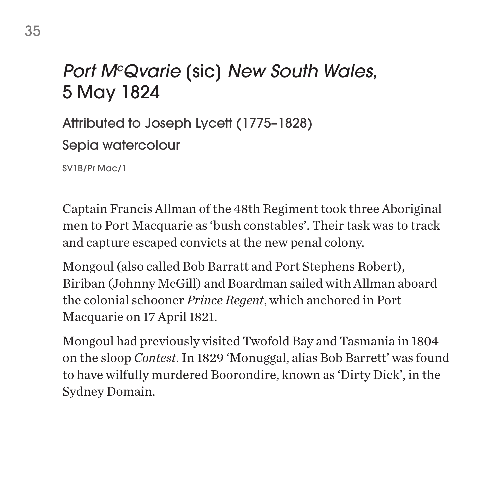# *Port McQvarie* [sic] *New South Wales*, 5 May 1824

Attributed to Joseph Lycett (1775–1828)

Sepia watercolour

SV1B/Pr Mac/1

Captain Francis Allman of the 48th Regiment took three Aboriginal men to Port Macquarie as 'bush constables'. Their task was to track and capture escaped convicts at the new penal colony.

Mongoul (also called Bob Barratt and Port Stephens Robert), Biriban (Johnny McGill) and Boardman sailed with Allman aboard the colonial schooner *Prince Regent*, which anchored in Port Macquarie on 17 April 1821.

Mongoul had previously visited Twofold Bay and Tasmania in 1804 on the sloop *Contest*. In 1829 'Monuggal, alias Bob Barrett' was found to have wilfully murdered Boorondire, known as 'Dirty Dick', in the Sydney Domain.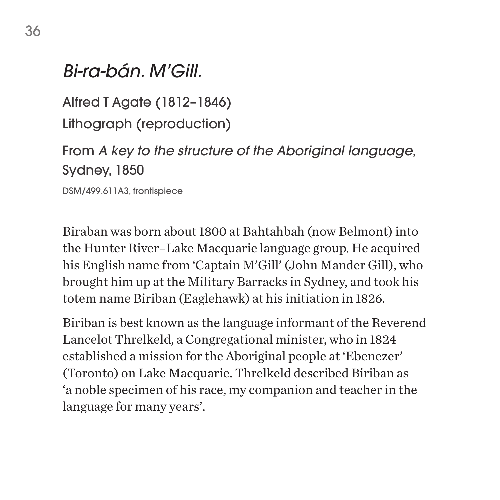#### *Bi-ra-bán. M'Gill.*

Alfred T Agate (1812–1846) Lithograph (reproduction)

From *A key to the structure of the Aboriginal language*, Sydney, 1850

DSM/499.611A3, frontispiece

Biraban was born about 1800 at Bahtahbah (now Belmont) into the Hunter River–Lake Macquarie language group. He acquired his English name from 'Captain M'Gill' (John Mander Gill), who brought him up at the Military Barracks in Sydney, and took his totem name Biriban (Eaglehawk) at his initiation in 1826.

Biriban is best known as the language informant of the Reverend Lancelot Threlkeld, a Congregational minister, who in 1824 established a mission for the Aboriginal people at 'Ebenezer' (Toronto) on Lake Macquarie. Threlkeld described Biriban as 'a noble specimen of his race, my companion and teacher in the language for many years'.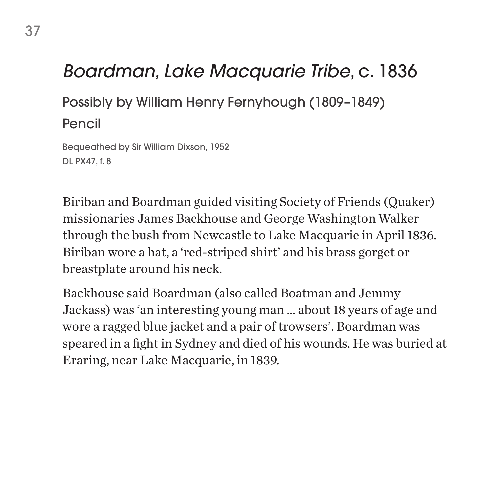## *Boardman, Lake Macquarie Tribe*, c. 1836

Possibly by William Henry Fernyhough (1809–1849)

Pencil

Bequeathed by Sir William Dixson, 1952 DL PX47, f. 8

Biriban and Boardman guided visiting Society of Friends (Quaker) missionaries James Backhouse and George Washington Walker through the bush from Newcastle to Lake Macquarie in April 1836. Biriban wore a hat, a 'red-striped shirt' and his brass gorget or breastplate around his neck.

Backhouse said Boardman (also called Boatman and Jemmy Jackass) was 'an interesting young man … about 18 years of age and wore a ragged blue jacket and a pair of trowsers'. Boardman was speared in a fight in Sydney and died of his wounds. He was buried at Eraring, near Lake Macquarie, in 1839.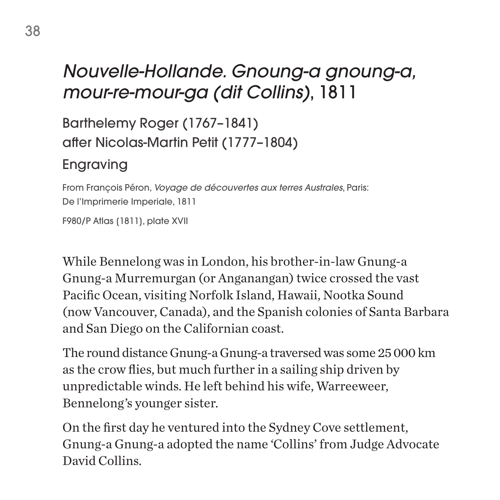# *Nouvelle-Hollande. Gnoung-a gnoung-a, mour-re-mour-ga (dit Collins)*, 1811

Barthelemy Roger (1767–1841) after Nicolas-Martin Petit (1777–1804)

#### Engraving

From François Péron, *Voyage de découvertes aux terres Australes*, Paris: De l'Imprimerie Imperiale, 1811

F980/P Atlas (1811), plate XVII

While Bennelong was in London, his brother-in-law Gnung-a Gnung-a Murremurgan (or Anganangan) twice crossed the vast Pacific Ocean, visiting Norfolk Island, Hawaii, Nootka Sound (now Vancouver, Canada), and the Spanish colonies of Santa Barbara and San Diego on the Californian coast.

The round distance Gnung-a Gnung-a traversed was some 25 000 km as the crow flies, but much further in a sailing ship driven by unpredictable winds. He left behind his wife, Warreeweer, Bennelong's younger sister.

On the first day he ventured into the Sydney Cove settlement, Gnung-a Gnung-a adopted the name 'Collins' from Judge Advocate David Collins.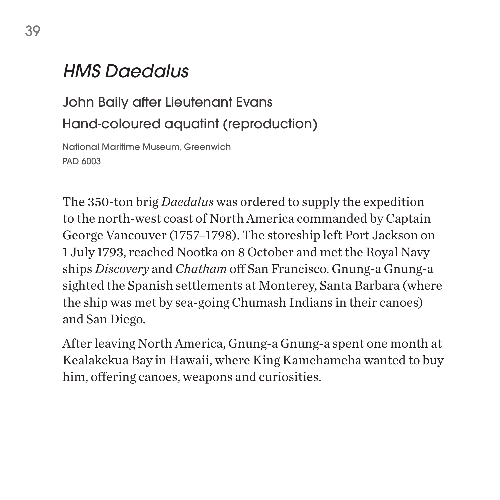### *HMS Daedalus*

John Baily after Lieutenant Evans Hand-coloured aquatint (reproduction)

National Maritime Museum, Greenwich PAD 6003

The 350-ton brig *Daedalus* was ordered to supply the expedition to the north-west coast of North America commanded by Captain George Vancouver (1757–1798). The storeship left Port Jackson on 1 July 1793, reached Nootka on 8 October and met the Royal Navy ships *Discovery* and *Chatham* off San Francisco. Gnung-a Gnung-a sighted the Spanish settlements at Monterey, Santa Barbara (where the ship was met by sea-going Chumash Indians in their canoes) and San Diego.

After leaving North America, Gnung-a Gnung-a spent one month at Kealakekua Bay in Hawaii, where King Kamehameha wanted to buy him, offering canoes, weapons and curiosities.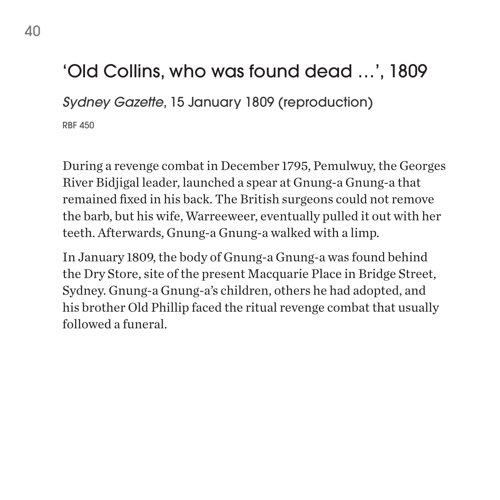## 'Old Collins, who was found dead …', 1809

*Sydney Gazette*, 15 January 1809 (reproduction)

RBF 450

During a revenge combat in December 1795, Pemulwuy, the Georges River Bidjigal leader, launched a spear at Gnung-a Gnung-a that remained fixed in his back. The British surgeons could not remove the barb, but his wife, Warreeweer, eventually pulled it out with her teeth. Afterwards, Gnung-a Gnung-a walked with a limp.

In January 1809, the body of Gnung-a Gnung-a was found behind the Dry Store, site of the present Macquarie Place in Bridge Street, Sydney. Gnung-a Gnung-a's children, others he had adopted, and his brother Old Phillip faced the ritual revenge combat that usually followed a funeral.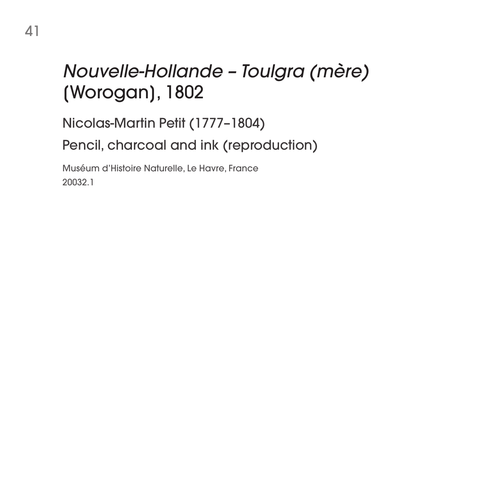# *Nouvelle-Hollande – Toulgra (mère)* [Worogan], 1802

Nicolas-Martin Petit (1777–1804)

Pencil, charcoal and ink (reproduction)

Muséum d'Histoire Naturelle, Le Havre, France 20032.1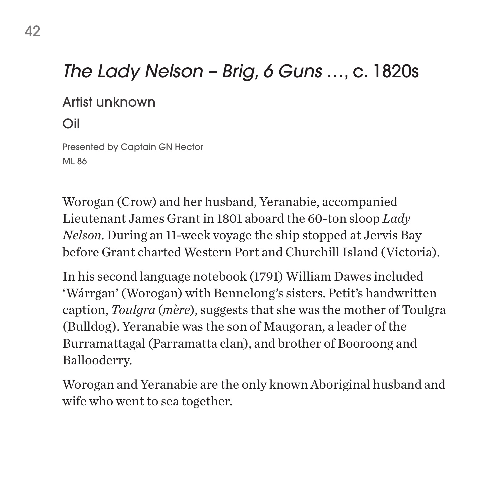### *The Lady Nelson – Brig, 6 Guns* …, c. 1820s

#### Artist unknown

Oil

Presented by Captain GN Hector ML 86

Worogan (Crow) and her husband, Yeranabie, accompanied Lieutenant James Grant in 1801 aboard the 60-ton sloop *Lady Nelson*. During an 11-week voyage the ship stopped at Jervis Bay before Grant charted Western Port and Churchill Island (Victoria).

In his second language notebook (1791) William Dawes included 'Wárrgan' (Worogan) with Bennelong's sisters. Petit's handwritten caption, *Toulgra* (*mère*), suggests that she was the mother of Toulgra (Bulldog). Yeranabie was the son of Maugoran, a leader of the Burramattagal (Parramatta clan), and brother of Booroong and Ballooderry.

Worogan and Yeranabie are the only known Aboriginal husband and wife who went to sea together.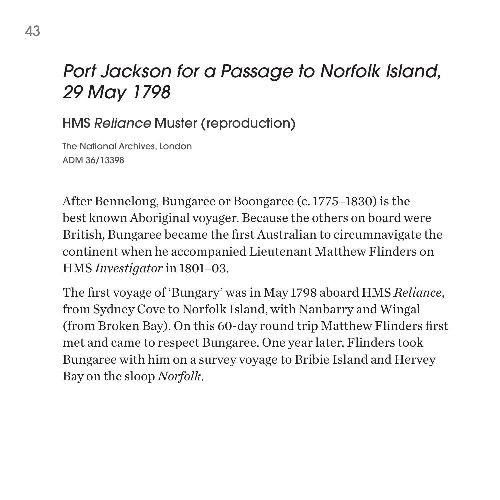## *Port Jackson for a Passage to Norfolk Island, 29 May 1798*

HMS *Reliance* Muster (reproduction)

The National Archives, London ADM 36/13398

After Bennelong, Bungaree or Boongaree (c. 1775–1830) is the best known Aboriginal voyager. Because the others on board were British, Bungaree became the first Australian to circumnavigate the continent when he accompanied Lieutenant Matthew Flinders on HMS *Investigator* in 1801–03.

The first voyage of 'Bungary' was in May 1798 aboard HMS *Reliance*, from Sydney Cove to Norfolk Island, with Nanbarry and Wingal (from Broken Bay). On this 60-day round trip Matthew Flinders first met and came to respect Bungaree. One year later, Flinders took Bungaree with him on a survey voyage to Bribie Island and Hervey Bay on the sloop *Norfolk*.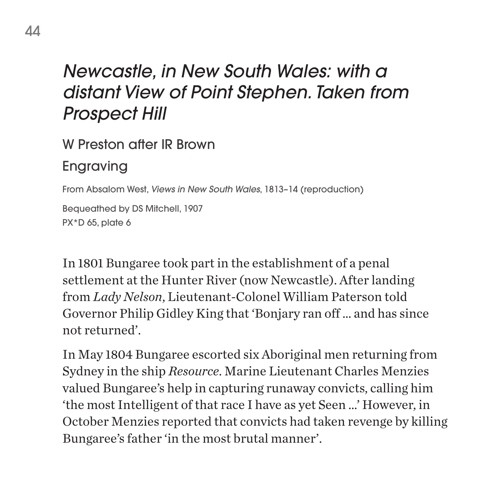## *Newcastle, in New South Wales: with a distant View of Point Stephen. Taken from Prospect Hill*

W Preston after IR Brown

#### Engraving

From Absalom West, *Views in New South Wales*, 1813–14 (reproduction)

Bequeathed by DS Mitchell, 1907 PX\*D 65, plate 6

In 1801 Bungaree took part in the establishment of a penal settlement at the Hunter River (now Newcastle). After landing from *Lady Nelson*, Lieutenant-Colonel William Paterson told Governor Philip Gidley King that 'Bonjary ran off … and has since not returned'.

In May 1804 Bungaree escorted six Aboriginal men returning from Sydney in the ship *Resource*. Marine Lieutenant Charles Menzies valued Bungaree's help in capturing runaway convicts, calling him 'the most Intelligent of that race I have as yet Seen …' However, in October Menzies reported that convicts had taken revenge by killing Bungaree's father 'in the most brutal manner'.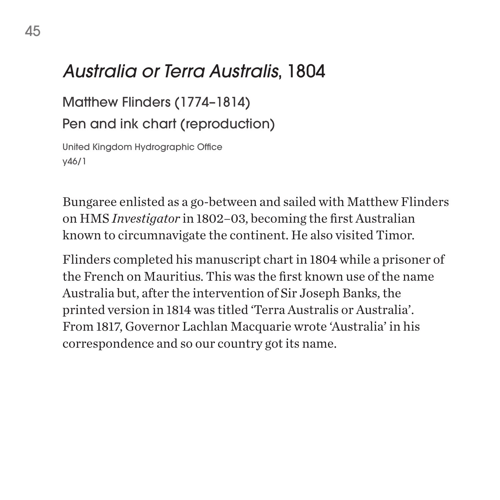### *Australia or Terra Australis*, 1804

Matthew Flinders (1774–1814)

Pen and ink chart (reproduction)

United Kingdom Hydrographic Office y46/1

Bungaree enlisted as a go-between and sailed with Matthew Flinders on HMS *Investigator* in 1802–03, becoming the first Australian known to circumnavigate the continent. He also visited Timor.

Flinders completed his manuscript chart in 1804 while a prisoner of the French on Mauritius. This was the first known use of the name Australia but, after the intervention of Sir Joseph Banks, the printed version in 1814 was titled 'Terra Australis or Australia'. From 1817, Governor Lachlan Macquarie wrote 'Australia' in his correspondence and so our country got its name.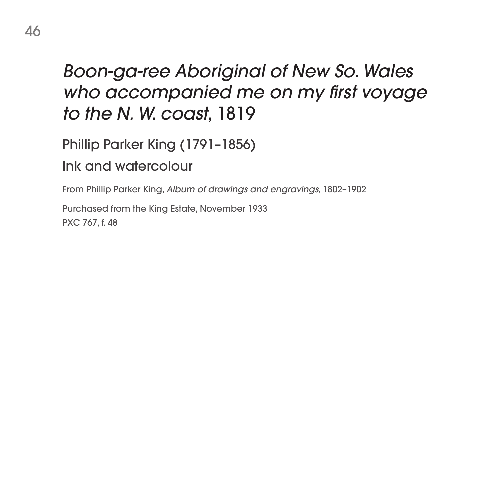## *Boon-ga-ree Aboriginal of New So. Wales who accompanied me on my first voyage to the N. W. coast*, 1819

Phillip Parker King (1791–1856)

Ink and watercolour

From Phillip Parker King, *Album of drawings and engravings*, 1802–1902

Purchased from the King Estate, November 1933 PXC 767, f. 48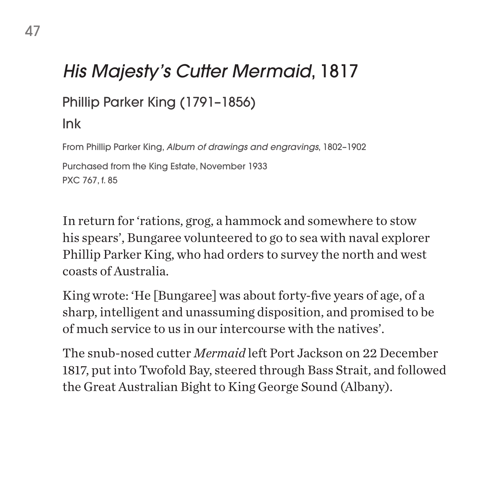# *His Majesty's Cutter Mermaid*, 1817

### Phillip Parker King (1791–1856)

#### Ink

From Phillip Parker King, *Album of drawings and engravings*, 1802–1902 Purchased from the King Estate, November 1933 PXC 767, f. 85

In return for 'rations, grog, a hammock and somewhere to stow his spears', Bungaree volunteered to go to sea with naval explorer Phillip Parker King, who had orders to survey the north and west coasts of Australia.

King wrote: 'He [Bungaree] was about forty-five years of age, of a sharp, intelligent and unassuming disposition, and promised to be of much service to us in our intercourse with the natives'.

The snub-nosed cutter *Mermaid* left Port Jackson on 22 December 1817, put into Twofold Bay, steered through Bass Strait, and followed the Great Australian Bight to King George Sound (Albany).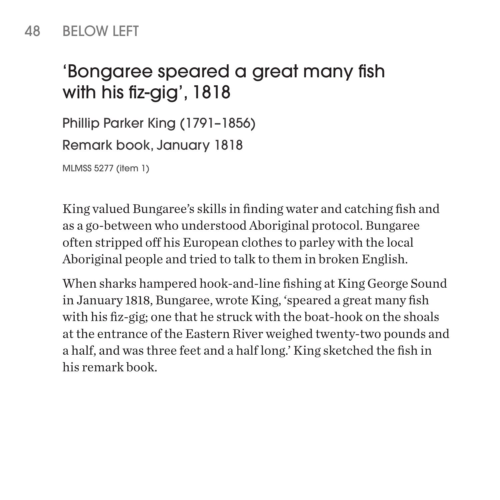# 'Bongaree speared a great many fish with his fiz-gig', 1818

Phillip Parker King (1791–1856) Remark book, January 1818

MLMSS 5277 (item 1)

King valued Bungaree's skills in finding water and catching fish and as a go-between who understood Aboriginal protocol. Bungaree often stripped off his European clothes to parley with the local Aboriginal people and tried to talk to them in broken English.

When sharks hampered hook-and-line fishing at King George Sound in January 1818, Bungaree, wrote King, 'speared a great many fish with his fiz-gig; one that he struck with the boat-hook on the shoals at the entrance of the Eastern River weighed twenty-two pounds and a half, and was three feet and a half long.' King sketched the fish in his remark book.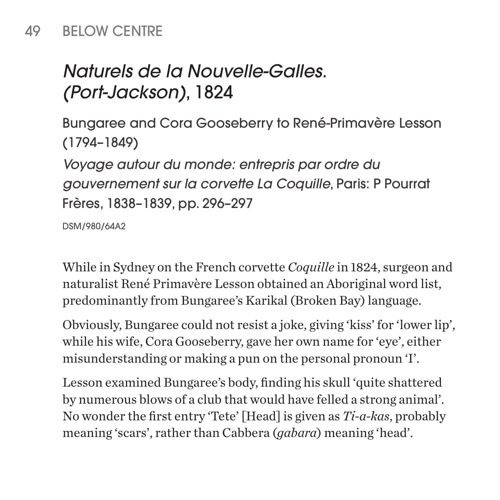#### 49 BELOW CENTRE

# *Naturels de la Nouvelle-Galles. (Port-Jackson)*, 1824

Bungaree and Cora Gooseberry to René-Primavère Lesson (1794–1849)

*Voyage autour du monde: entrepris par ordre du gouvernement sur la corvette La Coquille*, Paris: P Pourrat Frères, 1838–1839, pp. 296–297

DSM/980/64A2

While in Sydney on the French corvette *Coquille* in 1824, surgeon and naturalist René Primavère Lesson obtained an Aboriginal word list, predominantly from Bungaree's Karikal (Broken Bay) language.

Obviously, Bungaree could not resist a joke, giving 'kiss' for 'lower lip', while his wife, Cora Gooseberry, gave her own name for 'eye', either misunderstanding or making a pun on the personal pronoun 'I'.

Lesson examined Bungaree's body, finding his skull 'quite shattered by numerous blows of a club that would have felled a strong animal'. No wonder the first entry 'Tete' [Head] is given as *Ti-a-kas*, probably meaning 'scars', rather than Cabbera (*gabara*) meaning 'head'.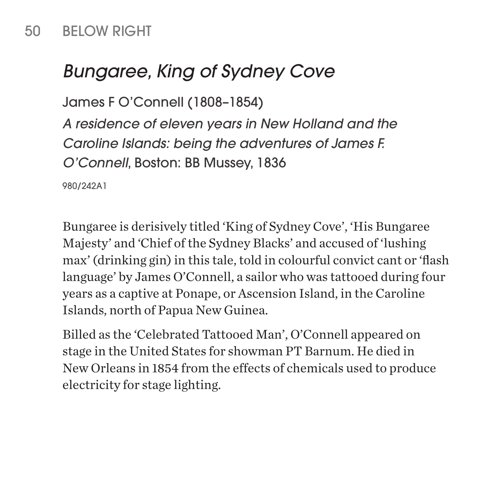### 50 BELOW RIGHT

## *Bungaree, King of Sydney Cove*

```
James F O'Connell (1808–1854)
```
*A residence of eleven years in New Holland and the Caroline Islands: being the adventures of James F. O'Connell*, Boston: BB Mussey, 1836

980/242A1

Bungaree is derisively titled 'King of Sydney Cove', 'His Bungaree Majesty' and 'Chief of the Sydney Blacks' and accused of 'lushing max' (drinking gin) in this tale, told in colourful convict cant or 'flash language' by James O'Connell, a sailor who was tattooed during four years as a captive at Ponape, or Ascension Island, in the Caroline Islands, north of Papua New Guinea.

Billed as the 'Celebrated Tattooed Man', O'Connell appeared on stage in the United States for showman PT Barnum. He died in New Orleans in 1854 from the effects of chemicals used to produce electricity for stage lighting.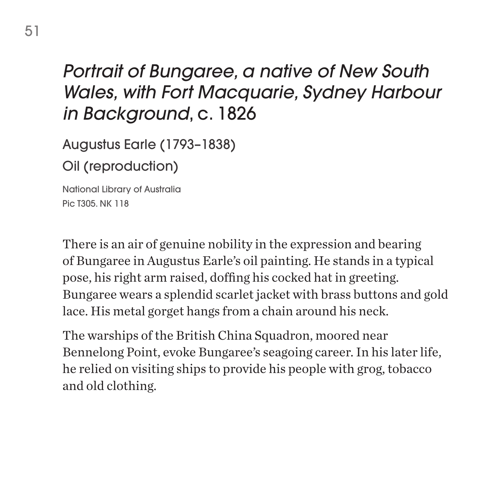## *Portrait of Bungaree, a native of New South Wales, with Fort Macquarie, Sydney Harbour in Background*, c. 1826

Augustus Earle (1793–1838)

Oil (reproduction)

National Library of Australia Pic T305. NK 118

There is an air of genuine nobility in the expression and bearing of Bungaree in Augustus Earle's oil painting. He stands in a typical pose, his right arm raised, doffing his cocked hat in greeting. Bungaree wears a splendid scarlet jacket with brass buttons and gold lace. His metal gorget hangs from a chain around his neck.

The warships of the British China Squadron, moored near Bennelong Point, evoke Bungaree's seagoing career. In his later life, he relied on visiting ships to provide his people with grog, tobacco and old clothing.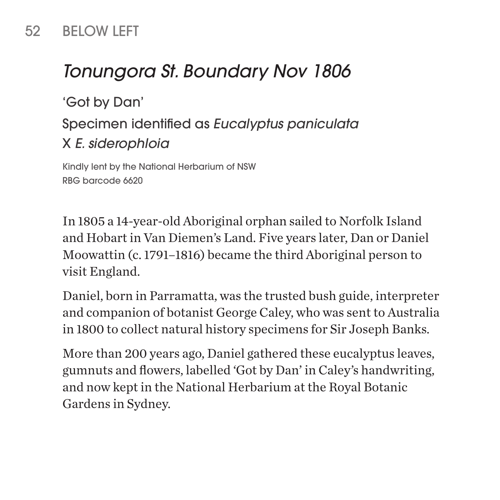### 52 BELOW LEFT

### *Tonungora St. Boundary Nov 1806*

'Got by Dan' Specimen identified as *Eucalyptus paniculata*  X *E. siderophloia*

Kindly lent by the National Herbarium of NSW RBG barcode 6620

In 1805 a 14-year-old Aboriginal orphan sailed to Norfolk Island and Hobart in Van Diemen's Land. Five years later, Dan or Daniel Moowattin (c. 1791–1816) became the third Aboriginal person to visit England.

Daniel, born in Parramatta, was the trusted bush guide, interpreter and companion of botanist George Caley, who was sent to Australia in 1800 to collect natural history specimens for Sir Joseph Banks.

More than 200 years ago, Daniel gathered these eucalyptus leaves, gumnuts and flowers, labelled 'Got by Dan' in Caley's handwriting, and now kept in the National Herbarium at the Royal Botanic Gardens in Sydney.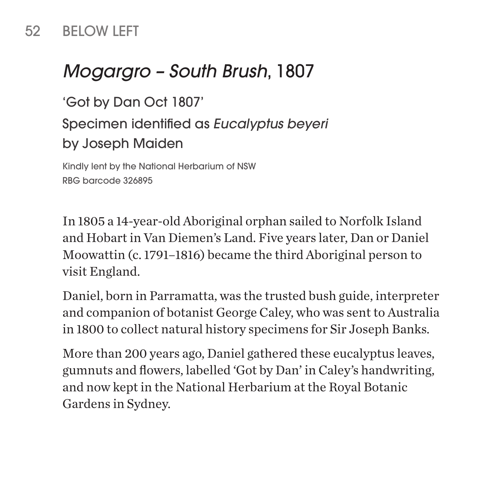#### 52 BELOW LEFT

### *Mogargro – South Brush*, 1807

'Got by Dan Oct 1807' Specimen identified as *Eucalyptus beyeri*  by Joseph Maiden

Kindly lent by the National Herbarium of NSW RBG barcode 326895

In 1805 a 14-year-old Aboriginal orphan sailed to Norfolk Island and Hobart in Van Diemen's Land. Five years later, Dan or Daniel Moowattin (c. 1791–1816) became the third Aboriginal person to visit England.

Daniel, born in Parramatta, was the trusted bush guide, interpreter and companion of botanist George Caley, who was sent to Australia in 1800 to collect natural history specimens for Sir Joseph Banks.

More than 200 years ago, Daniel gathered these eucalyptus leaves, gumnuts and flowers, labelled 'Got by Dan' in Caley's handwriting, and now kept in the National Herbarium at the Royal Botanic Gardens in Sydney.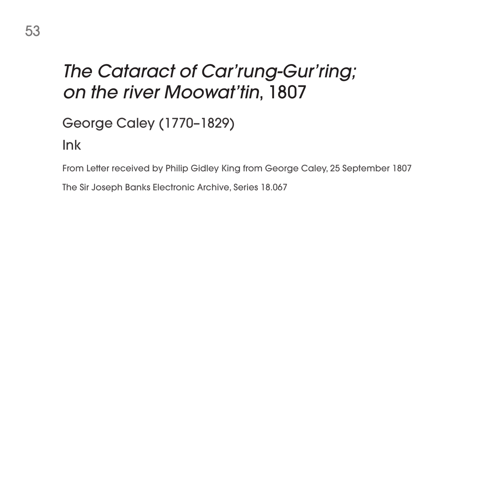## *The Cataract of Car'rung-Gur'ring; on the river Moowat'tin*, 1807

George Caley (1770–1829)

Ink

From Letter received by Philip Gidley King from George Caley, 25 September 1807

The Sir Joseph Banks Electronic Archive, Series 18.067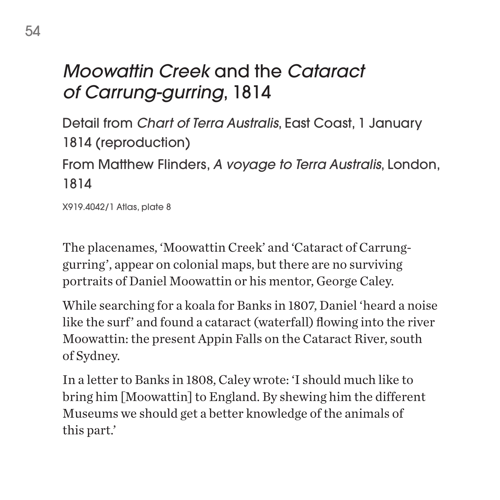# *Moowattin Creek* and the *Cataract of Carrung-gurring*, 1814

Detail from *Chart of Terra Australis*, East Coast, 1 January 1814 (reproduction) From Matthew Flinders, *A voyage to Terra Australis*, London, 1814

X919.4042/1 Atlas, plate 8

The placenames, 'Moowattin Creek' and 'Cataract of Carrunggurring', appear on colonial maps, but there are no surviving portraits of Daniel Moowattin or his mentor, George Caley.

While searching for a koala for Banks in 1807, Daniel 'heard a noise like the surf' and found a cataract (waterfall) flowing into the river Moowattin: the present Appin Falls on the Cataract River, south of Sydney.

In a letter to Banks in 1808, Caley wrote: 'I should much like to bring him [Moowattin] to England. By shewing him the different Museums we should get a better knowledge of the animals of this part.'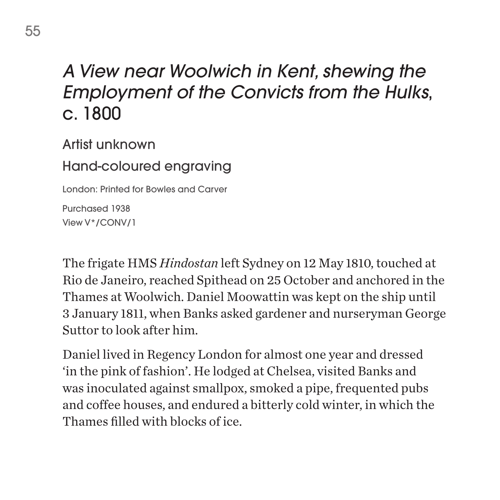## *A View near Woolwich in Kent, shewing the Employment of the Convicts from the Hulks*, c. 1800

Artist unknown

Hand-coloured engraving

London: Printed for Bowles and Carver

Purchased 1938 View V\*/CONV/1

The frigate HMS *Hindostan* left Sydney on 12 May 1810, touched at Rio de Janeiro, reached Spithead on 25 October and anchored in the Thames at Woolwich. Daniel Moowattin was kept on the ship until 3 January 1811, when Banks asked gardener and nurseryman George Suttor to look after him.

Daniel lived in Regency London for almost one year and dressed 'in the pink of fashion'. He lodged at Chelsea, visited Banks and was inoculated against smallpox, smoked a pipe, frequented pubs and coffee houses, and endured a bitterly cold winter, in which the Thames filled with blocks of ice.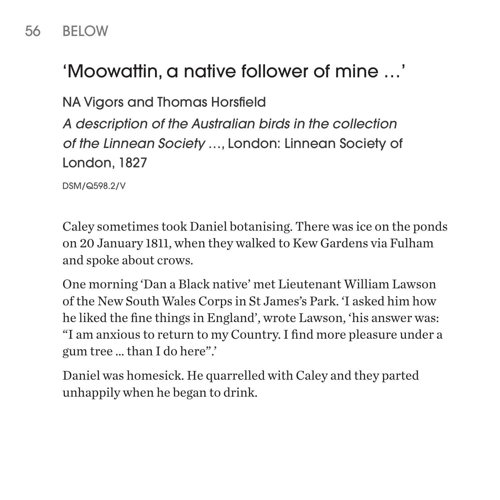### 56 BELOW

# 'Moowattin, a native follower of mine …'

NA Vigors and Thomas Horsfield

*A description of the Australian birds in the collection of the Linnean Society* …, London: Linnean Society of London, 1827

DSM/Q598.2/V

Caley sometimes took Daniel botanising. There was ice on the ponds on 20 January 1811, when they walked to Kew Gardens via Fulham and spoke about crows.

One morning 'Dan a Black native' met Lieutenant William Lawson of the New South Wales Corps in St James's Park. 'I asked him how he liked the fine things in England', wrote Lawson, 'his answer was: "I am anxious to return to my Country. I find more pleasure under a gum tree … than I do here".'

Daniel was homesick. He quarrelled with Caley and they parted unhappily when he began to drink.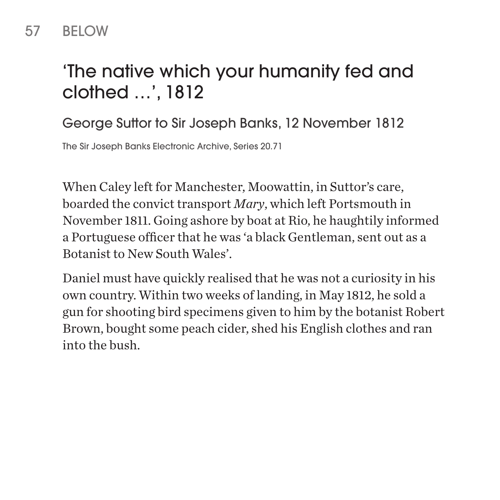# 'The native which your humanity fed and clothed …', 1812

George Suttor to Sir Joseph Banks, 12 November 1812

The Sir Joseph Banks Electronic Archive, Series 20.71

When Caley left for Manchester, Moowattin, in Suttor's care, boarded the convict transport *Mary*, which left Portsmouth in November 1811. Going ashore by boat at Rio, he haughtily informed a Portuguese officer that he was 'a black Gentleman, sent out as a Botanist to New South Wales'.

Daniel must have quickly realised that he was not a curiosity in his own country. Within two weeks of landing, in May 1812, he sold a gun for shooting bird specimens given to him by the botanist Robert Brown, bought some peach cider, shed his English clothes and ran into the bush.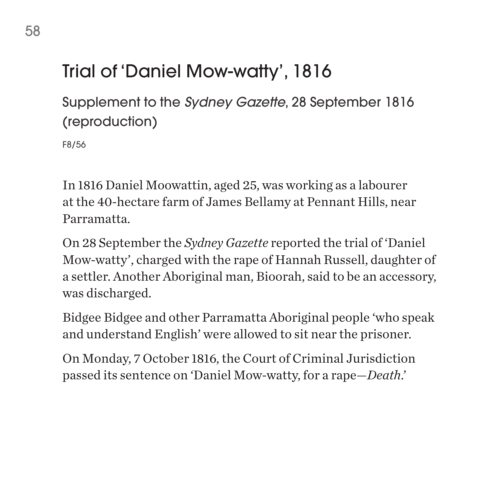# Trial of 'Daniel Mow-watty', 1816

Supplement to the *Sydney Gazette*, 28 September 1816 (reproduction)

F8/56

In 1816 Daniel Moowattin, aged 25, was working as a labourer at the 40-hectare farm of James Bellamy at Pennant Hills, near Parramatta.

On 28 September the *Sydney Gazette* reported the trial of 'Daniel Mow-watty', charged with the rape of Hannah Russell, daughter of a settler. Another Aboriginal man, Bioorah, said to be an accessory, was discharged.

Bidgee Bidgee and other Parramatta Aboriginal people 'who speak and understand English' were allowed to sit near the prisoner.

On Monday, 7 October 1816, the Court of Criminal Jurisdiction passed its sentence on 'Daniel Mow-watty, for a rape—*Death*.'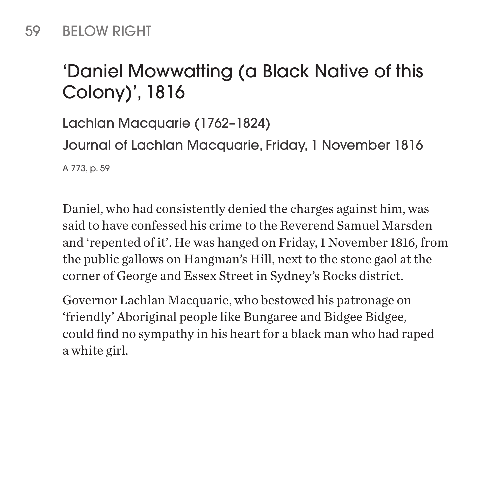### 59 BELOW RIGHT

# 'Daniel Mowwatting (a Black Native of this Colony)', 1816

Lachlan Macquarie (1762–1824) Journal of Lachlan Macquarie, Friday, 1 November 1816 A 773, p. 59

Daniel, who had consistently denied the charges against him, was said to have confessed his crime to the Reverend Samuel Marsden and 'repented of it'. He was hanged on Friday, 1 November 1816, from the public gallows on Hangman's Hill, next to the stone gaol at the corner of George and Essex Street in Sydney's Rocks district.

Governor Lachlan Macquarie, who bestowed his patronage on 'friendly' Aboriginal people like Bungaree and Bidgee Bidgee, could find no sympathy in his heart for a black man who had raped a white girl.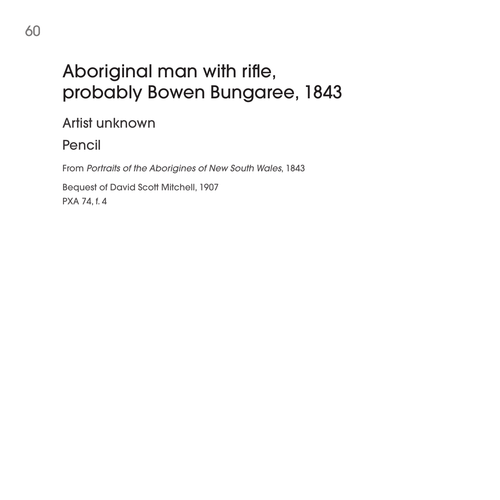# Aboriginal man with rifle, probably Bowen Bungaree, 1843

Artist unknown

Pencil

From *Portraits of the Aborigines of New South Wales*, 1843

Bequest of David Scott Mitchell, 1907 PXA 74, f. 4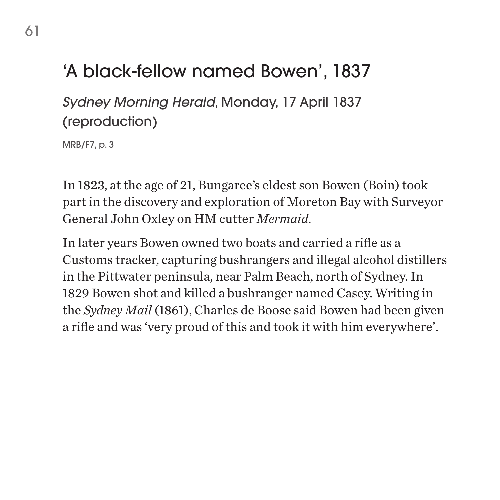# 'A black-fellow named Bowen', 1837

*Sydney Morning Herald*, Monday, 17 April 1837 (reproduction)

MRB/F7, p. 3

In 1823, at the age of 21, Bungaree's eldest son Bowen (Boin) took part in the discovery and exploration of Moreton Bay with Surveyor General John Oxley on HM cutter *Mermaid*.

In later years Bowen owned two boats and carried a rifle as a Customs tracker, capturing bushrangers and illegal alcohol distillers in the Pittwater peninsula, near Palm Beach, north of Sydney. In 1829 Bowen shot and killed a bushranger named Casey. Writing in the *Sydney Mail* (1861), Charles de Boose said Bowen had been given a rifle and was 'very proud of this and took it with him everywhere'.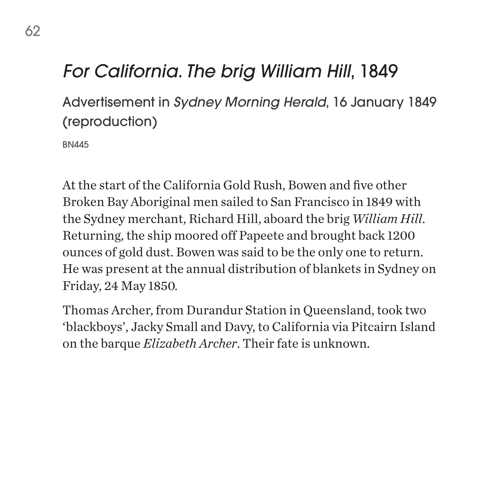## *For California. The brig William Hill*, 1849

Advertisement in *Sydney Morning Herald*, 16 January 1849 (reproduction)

BN445

At the start of the California Gold Rush, Bowen and five other Broken Bay Aboriginal men sailed to San Francisco in 1849 with the Sydney merchant, Richard Hill, aboard the brig *William Hill*. Returning, the ship moored off Papeete and brought back 1200 ounces of gold dust. Bowen was said to be the only one to return. He was present at the annual distribution of blankets in Sydney on Friday, 24 May 1850.

Thomas Archer, from Durandur Station in Queensland, took two 'blackboys', Jacky Small and Davy, to California via Pitcairn Island on the barque *Elizabeth Archer*. Their fate is unknown.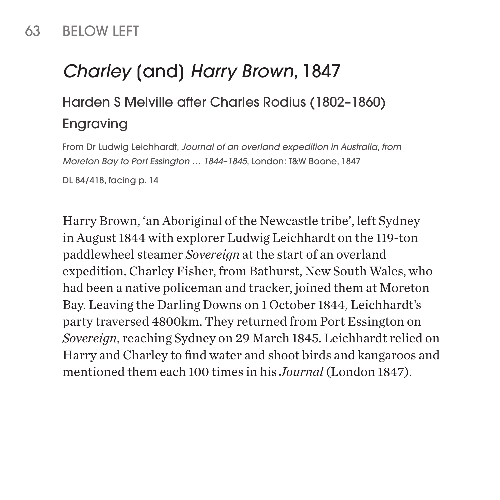### 63 BELOW LEFT

# *Charley* [and] *Harry Brown*, 1847

### Harden S Melville after Charles Rodius (1802–1860) Engraving

From Dr Ludwig Leichhardt, *Journal of an overland expedition in Australia, from Moreton Bay to Port Essington … 1844–1845*, London: T&W Boone, 1847

DL 84/418, facing p. 14

Harry Brown, 'an Aboriginal of the Newcastle tribe', left Sydney in August 1844 with explorer Ludwig Leichhardt on the 119-ton paddlewheel steamer *Sovereign* at the start of an overland expedition. Charley Fisher, from Bathurst, New South Wales, who had been a native policeman and tracker, joined them at Moreton Bay. Leaving the Darling Downs on 1 October 1844, Leichhardt's party traversed 4800km. They returned from Port Essington on *Sovereign*, reaching Sydney on 29 March 1845. Leichhardt relied on Harry and Charley to find water and shoot birds and kangaroos and mentioned them each 100 times in his *Journal* (London 1847).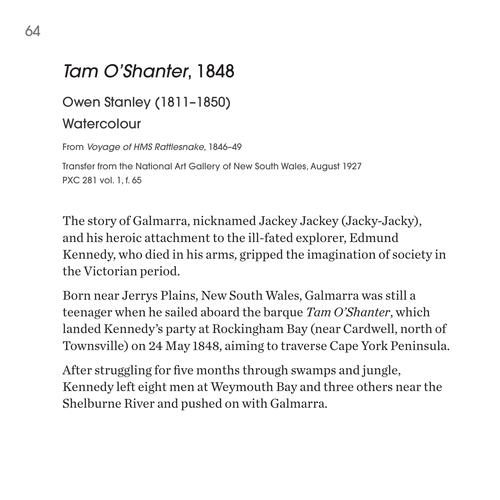### *Tam O'Shanter*, 1848

#### Owen Stanley (1811–1850)

#### **Watercolour**

From *Voyage of HMS Rattlesnake*, 1846–49 Transfer from the National Art Gallery of New South Wales, August 1927 PXC 281 vol. 1, f. 65

The story of Galmarra, nicknamed Jackey Jackey (Jacky-Jacky), and his heroic attachment to the ill-fated explorer, Edmund Kennedy, who died in his arms, gripped the imagination of society in the Victorian period.

Born near Jerrys Plains, New South Wales, Galmarra was still a teenager when he sailed aboard the barque *Tam O'Shanter*, which landed Kennedy's party at Rockingham Bay (near Cardwell, north of Townsville) on 24 May 1848, aiming to traverse Cape York Peninsula.

After struggling for five months through swamps and jungle, Kennedy left eight men at Weymouth Bay and three others near the Shelburne River and pushed on with Galmarra.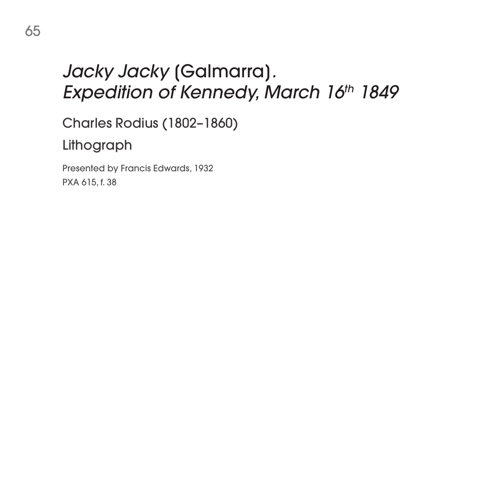# *Jacky Jacky* [Galmarra]*.* **Expedition of Kennedy, March 16th 1849**

Charles Rodius (1802–1860)

Lithograph

Presented by Francis Edwards, 1932 PXA 615, f. 38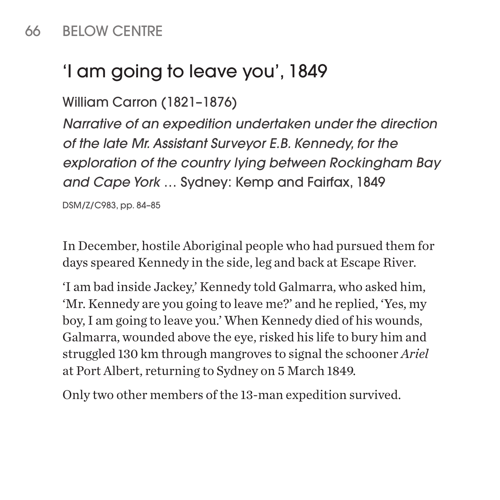### 66 BELOW CENTRE

## 'I am going to leave you', 1849

William Carron (1821–1876)

*Narrative of an expedition undertaken under the direction of the late Mr. Assistant Surveyor E.B. Kennedy, for the exploration of the country lying between Rockingham Bay and Cape York* … Sydney: Kemp and Fairfax, 1849

DSM/Z/C983, pp. 84–85

In December, hostile Aboriginal people who had pursued them for days speared Kennedy in the side, leg and back at Escape River.

'I am bad inside Jackey,' Kennedy told Galmarra, who asked him, 'Mr. Kennedy are you going to leave me?' and he replied, 'Yes, my boy, I am going to leave you.' When Kennedy died of his wounds, Galmarra, wounded above the eye, risked his life to bury him and struggled 130 km through mangroves to signal the schooner *Ariel* at Port Albert, returning to Sydney on 5 March 1849.

Only two other members of the 13-man expedition survived.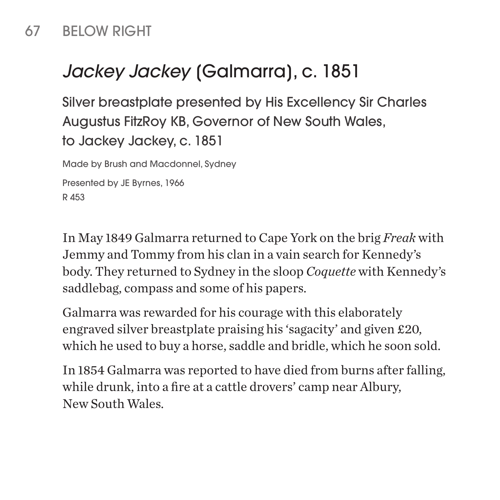### 67 BELOW RIGHT

# *Jackey Jackey* [Galmarra], c. 1851

Silver breastplate presented by His Excellency Sir Charles Augustus FitzRoy KB, Governor of New South Wales, to Jackey Jackey, c. 1851

Made by Brush and Macdonnel, Sydney

Presented by JE Byrnes, 1966 R 453

In May 1849 Galmarra returned to Cape York on the brig *Freak* with Jemmy and Tommy from his clan in a vain search for Kennedy's body. They returned to Sydney in the sloop *Coquette* with Kennedy's saddlebag, compass and some of his papers.

Galmarra was rewarded for his courage with this elaborately engraved silver breastplate praising his 'sagacity' and given £20, which he used to buy a horse, saddle and bridle, which he soon sold.

In 1854 Galmarra was reported to have died from burns after falling, while drunk, into a fire at a cattle drovers' camp near Albury, New South Wales.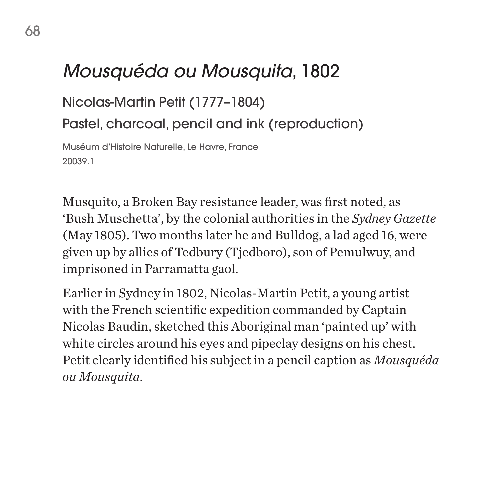## *Mousquéda ou Mousquita*, 1802

Nicolas-Martin Petit (1777–1804)

Pastel, charcoal, pencil and ink (reproduction)

Muséum d'Histoire Naturelle, Le Havre, France 20039.1

Musquito, a Broken Bay resistance leader, was first noted, as 'Bush Muschetta', by the colonial authorities in the *Sydney Gazette* (May 1805). Two months later he and Bulldog, a lad aged 16, were given up by allies of Tedbury (Tjedboro), son of Pemulwuy, and imprisoned in Parramatta gaol.

Earlier in Sydney in 1802, Nicolas-Martin Petit, a young artist with the French scientific expedition commanded by Captain Nicolas Baudin, sketched this Aboriginal man 'painted up' with white circles around his eyes and pipeclay designs on his chest. Petit clearly identified his subject in a pencil caption as *Mousquéda ou Mousquita*.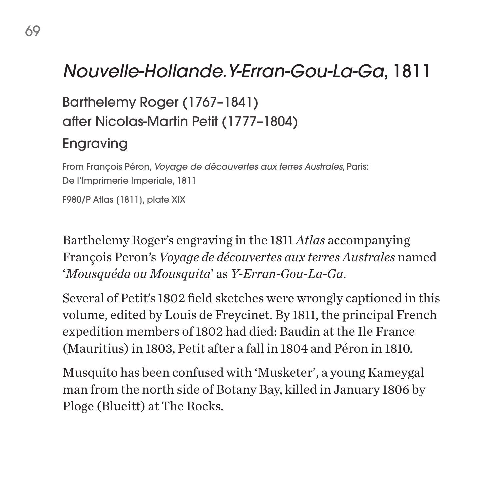## *Nouvelle-Hollande.Y-Erran-Gou-La-Ga*, 1811

Barthelemy Roger (1767–1841) after Nicolas-Martin Petit (1777–1804) Engraving

From François Péron, *Voyage de découvertes aux terres Australes*, Paris: De l'Imprimerie Imperiale, 1811 F980/P Atlas (1811), plate XIX

Barthelemy Roger's engraving in the 1811 *Atlas* accompanying François Peron's *Voyage de découvertes aux terres Australes* named '*Mousquéda ou Mousquita*' as *Y-Erran-Gou-La-Ga*.

Several of Petit's 1802 field sketches were wrongly captioned in this volume, edited by Louis de Freycinet. By 1811, the principal French expedition members of 1802 had died: Baudin at the Ile France (Mauritius) in 1803, Petit after a fall in 1804 and Péron in 1810.

Musquito has been confused with 'Musketer', a young Kameygal man from the north side of Botany Bay, killed in January 1806 by Ploge (Blueitt) at The Rocks.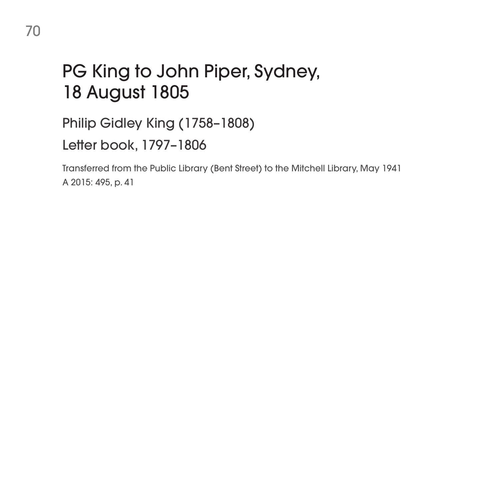# PG King to John Piper, Sydney, 18 August 1805

Philip Gidley King (1758–1808)

Letter book, 1797–1806

Transferred from the Public Library (Bent Street) to the Mitchell Library, May 1941 A 2015: 495, p. 41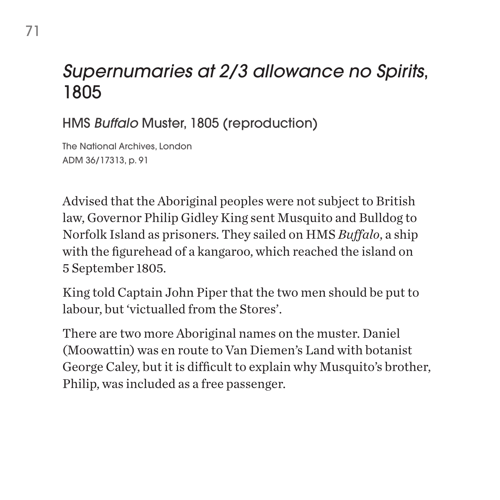## *Supernumaries at 2/3 allowance no Spirits*, 1805

HMS *Buffalo* Muster, 1805 (reproduction)

The National Archives, London ADM 36/17313, p. 91

Advised that the Aboriginal peoples were not subject to British law, Governor Philip Gidley King sent Musquito and Bulldog to Norfolk Island as prisoners. They sailed on HMS *Buffalo*, a ship with the figurehead of a kangaroo, which reached the island on 5 September 1805.

King told Captain John Piper that the two men should be put to labour, but 'victualled from the Stores'.

There are two more Aboriginal names on the muster. Daniel (Moowattin) was en route to Van Diemen's Land with botanist George Caley, but it is difficult to explain why Musquito's brother, Philip, was included as a free passenger.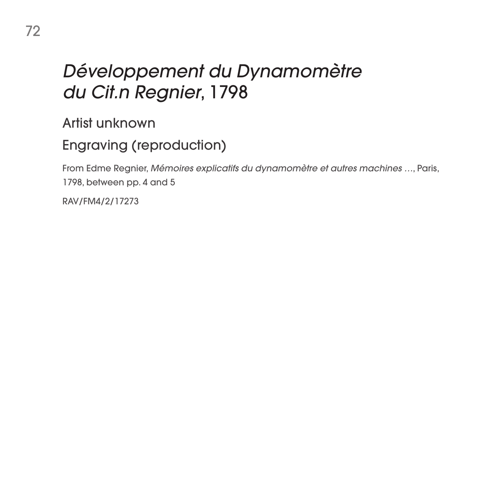### *Développement du Dynamomètre du Cit.n Regnier*, 1798

Artist unknown

#### Engraving (reproduction)

From Edme Regnier, *Mémoires explicatifs du dynamomètre et autres machines …*, Paris, 1798, between pp. 4 and 5

RAV/FM4/2/17273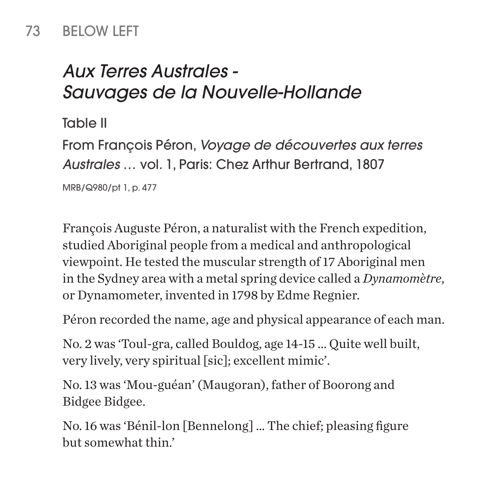#### 73 BELOW LEFT

# *Aux Terres Australes - Sauvages de la Nouvelle-Hollande*

Table II

From François Péron, *Voyage de découvertes aux terres Australes* … vol. 1, Paris: Chez Arthur Bertrand, 1807

MRB/Q980/pt 1, p. 477

François Auguste Péron, a naturalist with the French expedition, studied Aboriginal people from a medical and anthropological viewpoint. He tested the muscular strength of 17 Aboriginal men in the Sydney area with a metal spring device called a *Dynamomètre*, or Dynamometer, invented in 1798 by Edme Regnier.

Péron recorded the name, age and physical appearance of each man.

No. 2 was 'Toul-gra, called Bouldog, age 14-15 ... Quite well built, very lively, very spiritual [sic]; excellent mimic'.

No. 13 was 'Mou-guéan' (Maugoran), father of Boorong and Bidgee Bidgee.

No. 16 was 'Bénil-lon [Bennelong] … The chief; pleasing figure but somewhat thin.'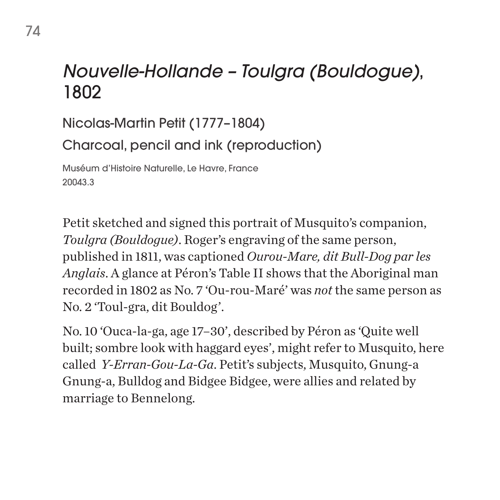#### *Nouvelle-Hollande – Toulgra (Bouldogue)*, 1802

Nicolas-Martin Petit (1777–1804) Charcoal, pencil and ink (reproduction) Muséum d'Histoire Naturelle, Le Havre, France 20043.3

Petit sketched and signed this portrait of Musquito's companion, *Toulgra (Bouldogue)*. Roger's engraving of the same person, published in 1811, was captioned *Ourou-Mare, dit Bull-Dog par les Anglais*. A glance at Péron's Table II shows that the Aboriginal man recorded in 1802 as No. 7 'Ou-rou-Maré' was *not* the same person as No. 2 'Toul-gra, dit Bouldog'.

No. 10 'Ouca-la-ga, age 17–30', described by Péron as 'Quite well built; sombre look with haggard eyes', might refer to Musquito, here called *Y-Erran-Gou-La-Ga*. Petit's subjects, Musquito, Gnung-a Gnung-a, Bulldog and Bidgee Bidgee, were allies and related by marriage to Bennelong.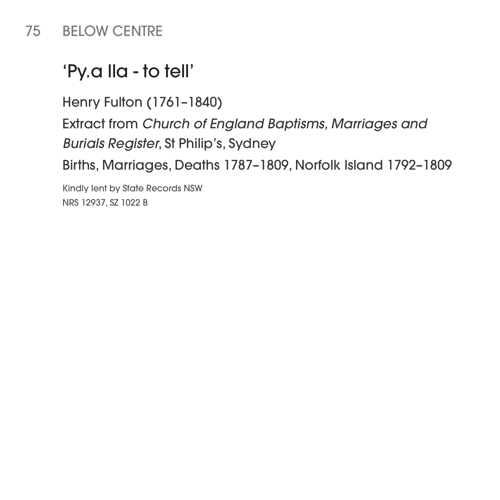#### 75 BELOW CENTRE

### 'Py.a lla - to tell'

Henry Fulton (1761–1840)

Extract from *Church of England Baptisms, Marriages and Burials Register*, St Philip's, Sydney

Births, Marriages, Deaths 1787–1809, Norfolk Island 1792–1809

Kindly lent by State Records NSW NRS 12937, SZ 1022 B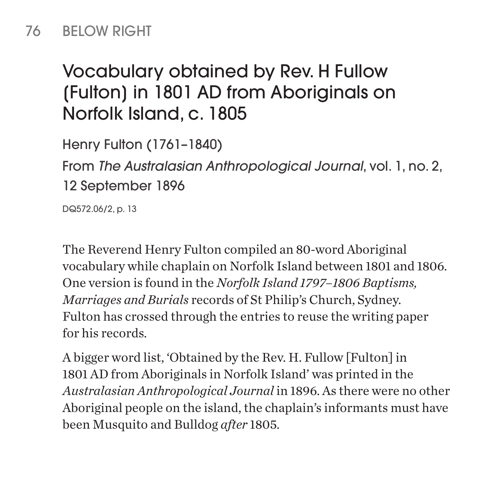#### 76 BELOW RIGHT

# Vocabulary obtained by Rev. H Fullow [Fulton] in 1801 AD from Aboriginals on Norfolk Island, c. 1805

Henry Fulton (1761–1840)

From *The Australasian Anthropological Journal*, vol. 1, no. 2, 12 September 1896

DQ572.06/2, p. 13

The Reverend Henry Fulton compiled an 80-word Aboriginal vocabulary while chaplain on Norfolk Island between 1801 and 1806. One version is found in the *Norfolk Island 1797–1806 Baptisms, Marriages and Burials* records of St Philip's Church, Sydney. Fulton has crossed through the entries to reuse the writing paper for his records.

A bigger word list, 'Obtained by the Rev. H. Fullow [Fulton] in 1801 AD from Aboriginals in Norfolk Island' was printed in the *Australasian Anthropological Journal* in 1896. As there were no other Aboriginal people on the island, the chaplain's informants must have been Musquito and Bulldog *after* 1805.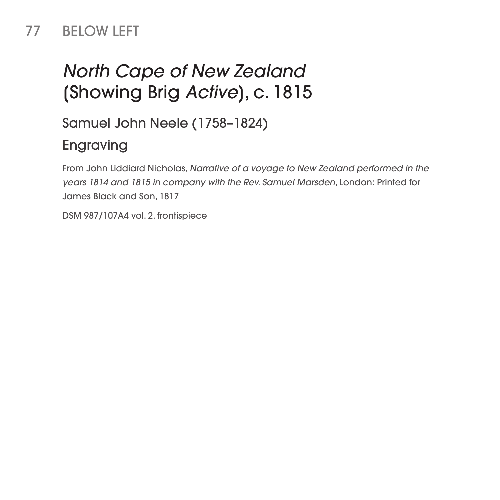#### 77 BELOW LEFT

# *North Cape of New Zealand* [Showing Brig *Active*], c. 1815

Samuel John Neele (1758–1824)

#### Engraving

From John Liddiard Nicholas, *Narrative of a voyage to New Zealand performed in the years 1814 and 1815 in company with the Rev. Samuel Marsden*, London: Printed for James Black and Son, 1817

DSM 987/107A4 vol. 2, frontispiece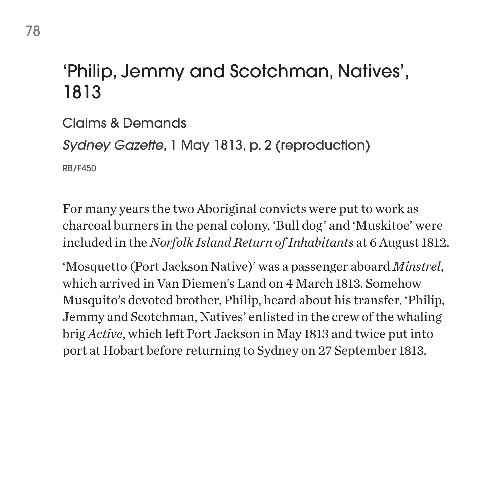#### 'Philip, Jemmy and Scotchman, Natives', 1813

Claims & Demands *Sydney Gazette*, 1 May 1813, p. 2 (reproduction) RB/F450

For many years the two Aboriginal convicts were put to work as charcoal burners in the penal colony. 'Bull dog' and 'Muskitoe' were included in the *Norfolk Island Return of Inhabitants* at 6 August 1812.

'Mosquetto (Port Jackson Native)' was a passenger aboard *Minstrel*, which arrived in Van Diemen's Land on 4 March 1813. Somehow Musquito's devoted brother, Philip, heard about his transfer. 'Philip, Jemmy and Scotchman, Natives' enlisted in the crew of the whaling brig *Active*, which left Port Jackson in May 1813 and twice put into port at Hobart before returning to Sydney on 27 September 1813.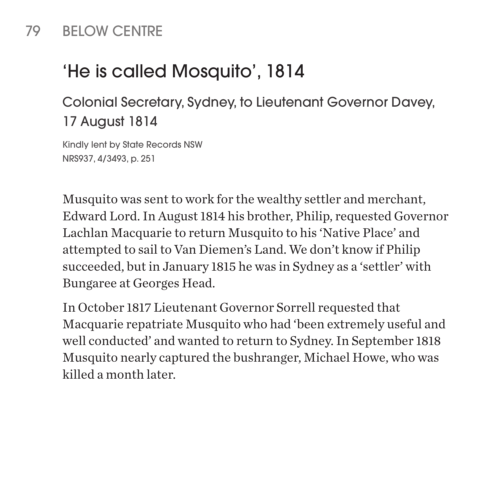#### 79 BELOW CENTRE

# 'He is called Mosquito', 1814

Colonial Secretary, Sydney, to Lieutenant Governor Davey, 17 August 1814

Kindly lent by State Records NSW NRS937, 4/3493, p. 251

Musquito was sent to work for the wealthy settler and merchant, Edward Lord. In August 1814 his brother, Philip, requested Governor Lachlan Macquarie to return Musquito to his 'Native Place' and attempted to sail to Van Diemen's Land. We don't know if Philip succeeded, but in January 1815 he was in Sydney as a 'settler' with Bungaree at Georges Head.

In October 1817 Lieutenant Governor Sorrell requested that Macquarie repatriate Musquito who had 'been extremely useful and well conducted' and wanted to return to Sydney. In September 1818 Musquito nearly captured the bushranger, Michael Howe, who was killed a month later.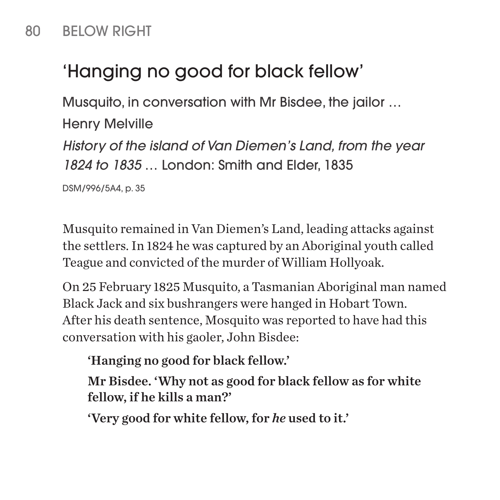#### 80 BELOW RIGHT

# 'Hanging no good for black fellow'

Musquito, in conversation with Mr Bisdee, the jailor …

Henry Melville *History of the island of Van Diemen's Land, from the year 1824 to 1835* … London: Smith and Elder, 1835

DSM/996/5A4, p. 35

Musquito remained in Van Diemen's Land, leading attacks against the settlers. In 1824 he was captured by an Aboriginal youth called Teague and convicted of the murder of William Hollyoak.

On 25 February 1825 Musquito, a Tasmanian Aboriginal man named Black Jack and six bushrangers were hanged in Hobart Town. After his death sentence, Mosquito was reported to have had this conversation with his gaoler, John Bisdee:

'Hanging no good for black fellow.'

Mr Bisdee. 'Why not as good for black fellow as for white fellow, if he kills a man?'

'Very good for white fellow, for *he* used to it.'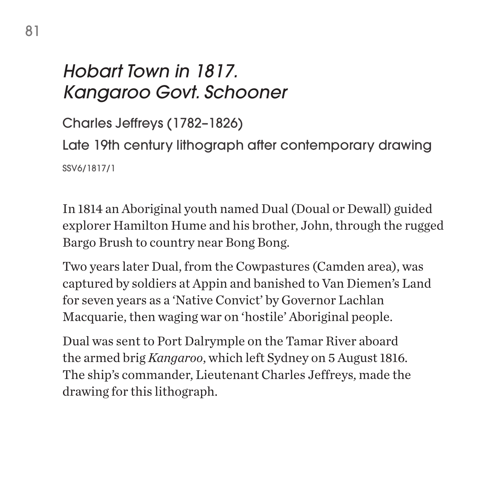### *Hobart Town in 1817. Kangaroo Govt. Schooner*

Charles Jeffreys (1782–1826) Late 19th century lithograph after contemporary drawing SSV6/1817/1

In 1814 an Aboriginal youth named Dual (Doual or Dewall) guided explorer Hamilton Hume and his brother, John, through the rugged Bargo Brush to country near Bong Bong.

Two years later Dual, from the Cowpastures (Camden area), was captured by soldiers at Appin and banished to Van Diemen's Land for seven years as a 'Native Convict' by Governor Lachlan Macquarie, then waging war on 'hostile' Aboriginal people.

Dual was sent to Port Dalrymple on the Tamar River aboard the armed brig *Kangaroo*, which left Sydney on 5 August 1816. The ship's commander, Lieutenant Charles Jeffreys, made the drawing for this lithograph.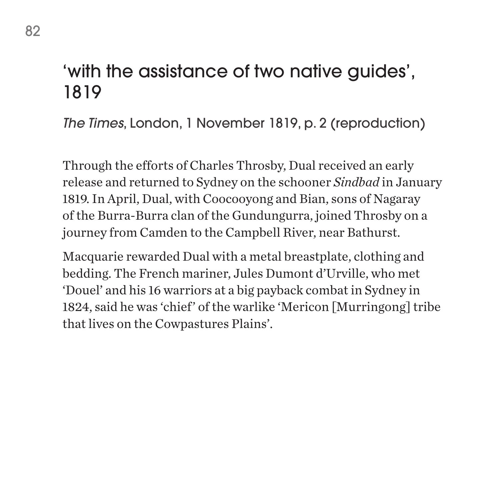#### 'with the assistance of two native guides', 1819

*The Times*, London, 1 November 1819, p. 2 (reproduction)

Through the efforts of Charles Throsby, Dual received an early release and returned to Sydney on the schooner *Sindbad* in January 1819. In April, Dual, with Coocooyong and Bian, sons of Nagaray of the Burra-Burra clan of the Gundungurra, joined Throsby on a journey from Camden to the Campbell River, near Bathurst.

Macquarie rewarded Dual with a metal breastplate, clothing and bedding. The French mariner, Jules Dumont d'Urville, who met 'Douel' and his 16 warriors at a big payback combat in Sydney in 1824, said he was 'chief' of the warlike 'Mericon [Murringong] tribe that lives on the Cowpastures Plains'.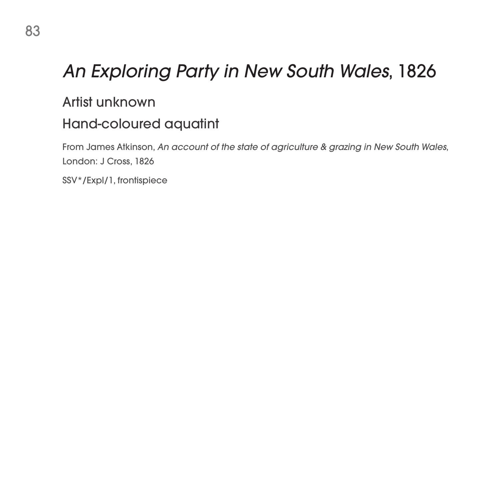# *An Exploring Party in New South Wales*, 1826

#### Artist unknown

#### Hand-coloured aquatint

From James Atkinson, *An account of the state of agriculture & grazing in New South Wales*, London: J Cross, 1826

SSV\*/Expl/1, frontispiece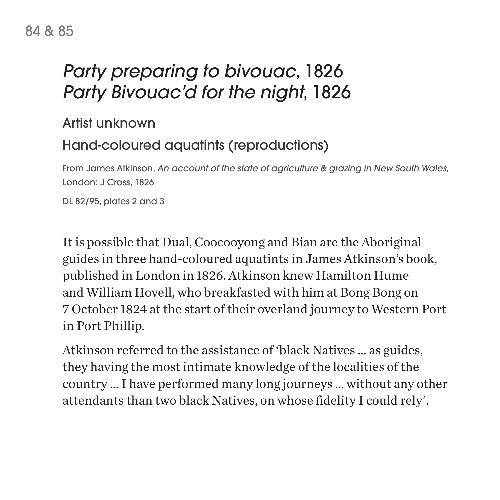#### 84 & 85

### *Party preparing to bivouac*, 1826 *Party Bivouac'd for the night*, 1826

Artist unknown

#### Hand-coloured aquatints (reproductions)

From James Atkinson, *An account of the state of agriculture & grazing in New South Wales*, London: J Cross, 1826

DL 82/95, plates 2 and 3

It is possible that Dual, Coocooyong and Bian are the Aboriginal guides in three hand-coloured aquatints in James Atkinson's book, published in London in 1826. Atkinson knew Hamilton Hume and William Hovell, who breakfasted with him at Bong Bong on 7 October 1824 at the start of their overland journey to Western Port in Port Phillip.

Atkinson referred to the assistance of 'black Natives … as guides, they having the most intimate knowledge of the localities of the country … I have performed many long journeys … without any other attendants than two black Natives, on whose fidelity I could rely'.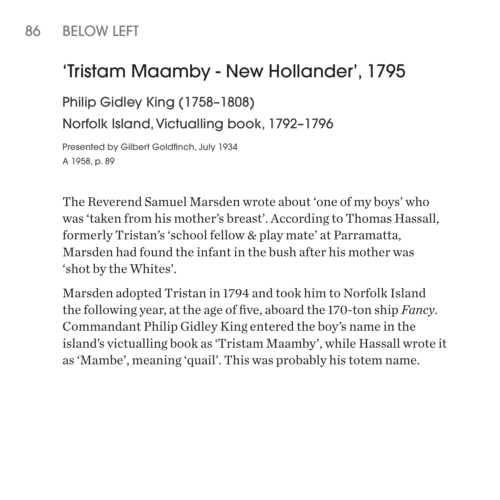#### 86 BELOW LEFT

#### 'Tristam Maamby - New Hollander', 1795

Philip Gidley King (1758–1808)

Norfolk Island, Victualling book, 1792–1796

Presented by Gilbert Goldfinch, July 1934 A 1958, p. 89

The Reverend Samuel Marsden wrote about 'one of my boys' who was 'taken from his mother's breast'. According to Thomas Hassall, formerly Tristan's 'school fellow & play mate' at Parramatta, Marsden had found the infant in the bush after his mother was 'shot by the Whites'.

Marsden adopted Tristan in 1794 and took him to Norfolk Island the following year, at the age of five, aboard the 170-ton ship *Fancy*. Commandant Philip Gidley King entered the boy's name in the island's victualling book as 'Tristam Maamby', while Hassall wrote it as 'Mambe', meaning 'quail'. This was probably his totem name.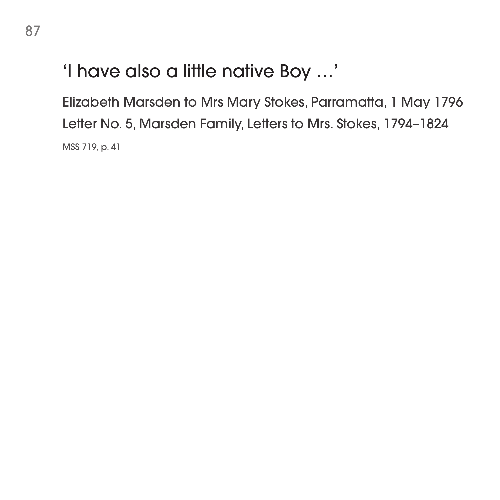#### 'I have also a little native Boy …'

Elizabeth Marsden to Mrs Mary Stokes, Parramatta, 1 May 1796 Letter No. 5, Marsden Family, Letters to Mrs. Stokes, 1794–1824 MSS 719, p. 41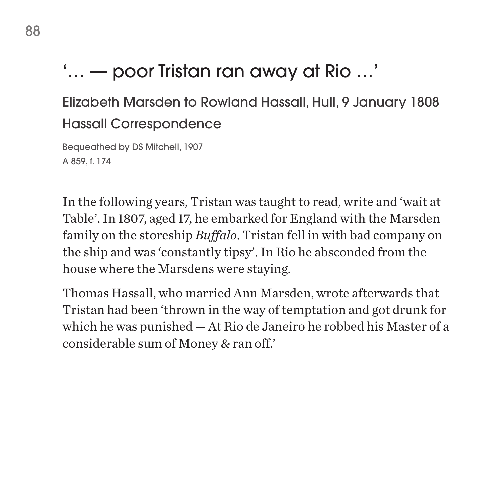# '… — poor Tristan ran away at Rio …'

Elizabeth Marsden to Rowland Hassall, Hull, 9 January 1808 Hassall Correspondence

Bequeathed by DS Mitchell, 1907 A 859, f. 174

In the following years, Tristan was taught to read, write and 'wait at Table'. In 1807, aged 17, he embarked for England with the Marsden family on the storeship *Buffalo*. Tristan fell in with bad company on the ship and was 'constantly tipsy'. In Rio he absconded from the house where the Marsdens were staying.

Thomas Hassall, who married Ann Marsden, wrote afterwards that Tristan had been 'thrown in the way of temptation and got drunk for which he was punished — At Rio de Janeiro he robbed his Master of a considerable sum of Money & ran off.'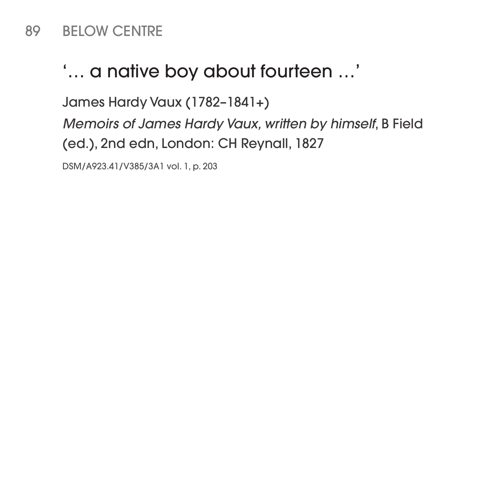#### 89 BELOW CENTRE

#### '… a native boy about fourteen …'

James Hardy Vaux (1782–1841+)

*Memoirs of James Hardy Vaux, written by himself*, B Field (ed.), 2nd edn, London: CH Reynall, 1827

DSM/A923.41/V385/3A1 vol. 1, p. 203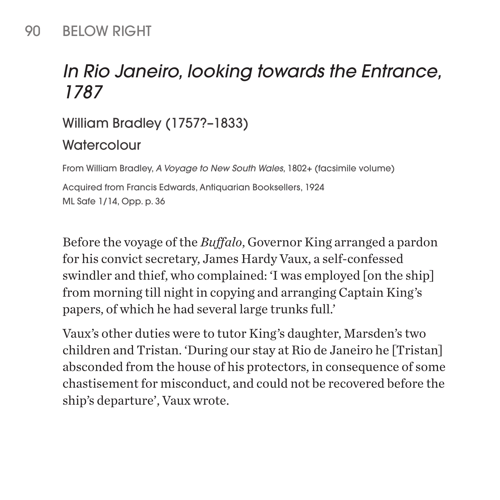#### 90 BELOW RIGHT

#### *In Rio Janeiro, looking towards the Entrance, 1787*

William Bradley (1757?–1833)

#### **Watercolour**

From William Bradley, *A Voyage to New South Wales*, 1802+ (facsimile volume)

Acquired from Francis Edwards, Antiquarian Booksellers, 1924 ML Safe 1/14, Opp. p. 36

Before the voyage of the *Buffalo*, Governor King arranged a pardon for his convict secretary, James Hardy Vaux, a self-confessed swindler and thief, who complained: 'I was employed [on the ship] from morning till night in copying and arranging Captain King's papers, of which he had several large trunks full.'

Vaux's other duties were to tutor King's daughter, Marsden's two children and Tristan. 'During our stay at Rio de Janeiro he [Tristan] absconded from the house of his protectors, in consequence of some chastisement for misconduct, and could not be recovered before the ship's departure', Vaux wrote.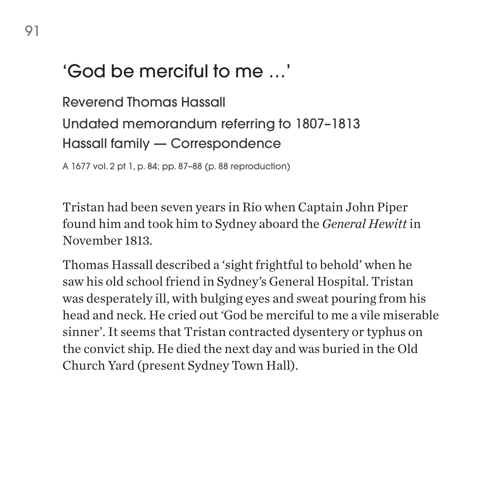#### 'God be merciful to me …'

Reverend Thomas Hassall Undated memorandum referring to 1807–1813 Hassall family — Correspondence

A 1677 vol. 2 pt 1, p. 84; pp. 87–88 (p. 88 reproduction)

Tristan had been seven years in Rio when Captain John Piper found him and took him to Sydney aboard the *General Hewitt* in November 1813.

Thomas Hassall described a 'sight frightful to behold' when he saw his old school friend in Sydney's General Hospital. Tristan was desperately ill, with bulging eyes and sweat pouring from his head and neck. He cried out 'God be merciful to me a vile miserable sinner'. It seems that Tristan contracted dysentery or typhus on the convict ship. He died the next day and was buried in the Old Church Yard (present Sydney Town Hall).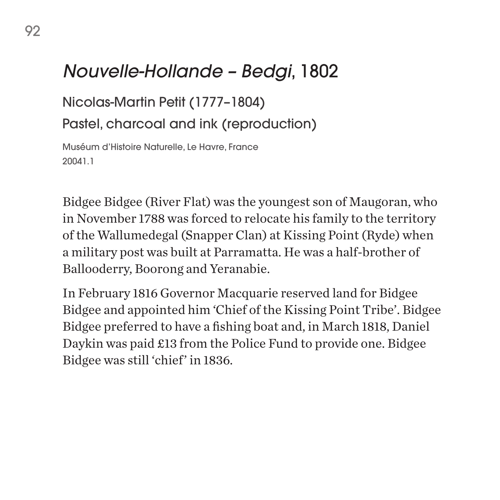#### *Nouvelle-Hollande – Bedgi*, 1802

Nicolas-Martin Petit (1777–1804) Pastel, charcoal and ink (reproduction)

Muséum d'Histoire Naturelle, Le Havre, France 20041.1

Bidgee Bidgee (River Flat) was the youngest son of Maugoran, who in November 1788 was forced to relocate his family to the territory of the Wallumedegal (Snapper Clan) at Kissing Point (Ryde) when a military post was built at Parramatta. He was a half-brother of Ballooderry, Boorong and Yeranabie.

In February 1816 Governor Macquarie reserved land for Bidgee Bidgee and appointed him 'Chief of the Kissing Point Tribe'. Bidgee Bidgee preferred to have a fishing boat and, in March 1818, Daniel Daykin was paid £13 from the Police Fund to provide one. Bidgee Bidgee was still 'chief' in 1836.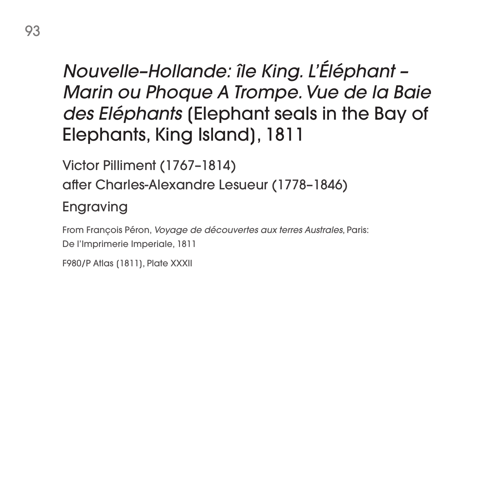# *Nouvelle–Hollande: île King. L'Éléphant – Marin ou Phoque A Trompe. Vue de la Baie des Eléphants* [Elephant seals in the Bay of Elephants, King Island], 1811

Victor Pilliment (1767–1814) after Charles-Alexandre Lesueur (1778–1846)

#### Engraving

From François Péron, *Voyage de découvertes aux terres Australes*, Paris: De l'Imprimerie Imperiale, 1811

F980/P Atlas (1811), Plate XXXII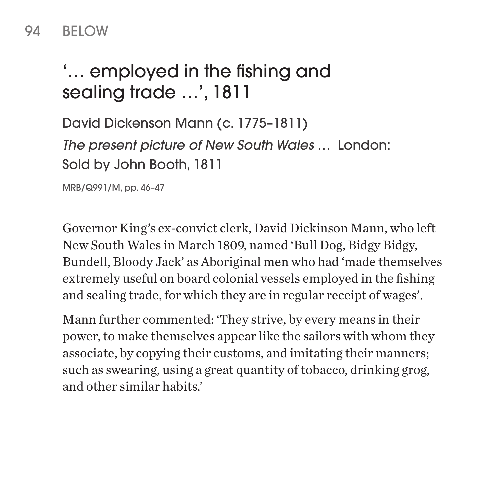#### 94 BELOW

# '… employed in the fishing and sealing trade …', 1811

David Dickenson Mann (c. 1775–1811) *The present picture of New South Wales* … London: Sold by John Booth, 1811

MRB/Q991/M, pp. 46–47

Governor King's ex-convict clerk, David Dickinson Mann, who left New South Wales in March 1809, named 'Bull Dog, Bidgy Bidgy, Bundell, Bloody Jack' as Aboriginal men who had 'made themselves extremely useful on board colonial vessels employed in the fishing and sealing trade, for which they are in regular receipt of wages'.

Mann further commented: 'They strive, by every means in their power, to make themselves appear like the sailors with whom they associate, by copying their customs, and imitating their manners; such as swearing, using a great quantity of tobacco, drinking grog, and other similar habits.'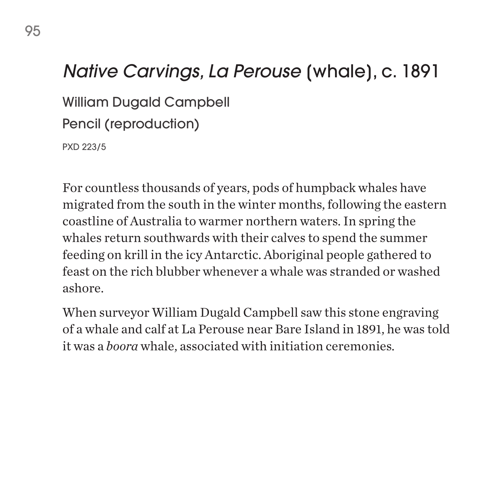#### *Native Carvings, La Perouse* [whale], c. 1891

William Dugald Campbell

Pencil (reproduction)

PXD 223/5

For countless thousands of years, pods of humpback whales have migrated from the south in the winter months, following the eastern coastline of Australia to warmer northern waters. In spring the whales return southwards with their calves to spend the summer feeding on krill in the icy Antarctic. Aboriginal people gathered to feast on the rich blubber whenever a whale was stranded or washed ashore.

When surveyor William Dugald Campbell saw this stone engraving of a whale and calf at La Perouse near Bare Island in 1891, he was told it was a *boora* whale, associated with initiation ceremonies.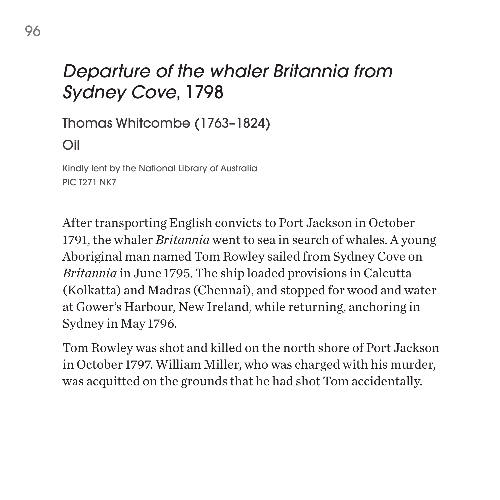#### *Departure of the whaler Britannia from Sydney Cove*, 1798

Thomas Whitcombe (1763–1824)

Oil

Kindly lent by the National Library of Australia PIC T271 NK7

After transporting English convicts to Port Jackson in October 1791, the whaler *Britannia* went to sea in search of whales. A young Aboriginal man named Tom Rowley sailed from Sydney Cove on *Britannia* in June 1795. The ship loaded provisions in Calcutta (Kolkatta) and Madras (Chennai), and stopped for wood and water at Gower's Harbour, New Ireland, while returning, anchoring in Sydney in May 1796.

Tom Rowley was shot and killed on the north shore of Port Jackson in October 1797. William Miller, who was charged with his murder, was acquitted on the grounds that he had shot Tom accidentally.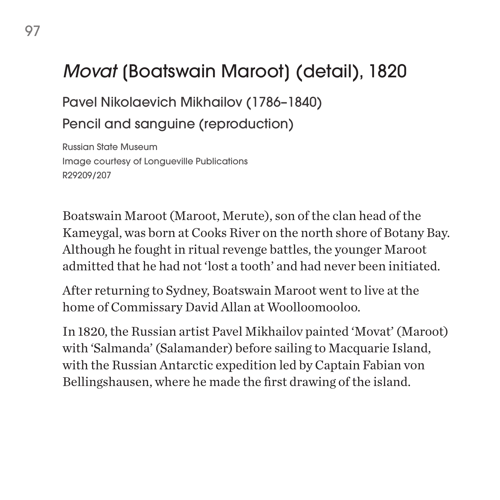### *Movat* [Boatswain Maroot] (detail), 1820

Pavel Nikolaevich Mikhailov (1786–1840) Pencil and sanguine (reproduction)

Russian State Museum Image courtesy of Longueville Publications R29209/207

Boatswain Maroot (Maroot, Merute), son of the clan head of the Kameygal, was born at Cooks River on the north shore of Botany Bay. Although he fought in ritual revenge battles, the younger Maroot admitted that he had not 'lost a tooth' and had never been initiated.

After returning to Sydney, Boatswain Maroot went to live at the home of Commissary David Allan at Woolloomooloo.

In 1820, the Russian artist Pavel Mikhailov painted 'Movat' (Maroot) with 'Salmanda' (Salamander) before sailing to Macquarie Island, with the Russian Antarctic expedition led by Captain Fabian von Bellingshausen, where he made the first drawing of the island.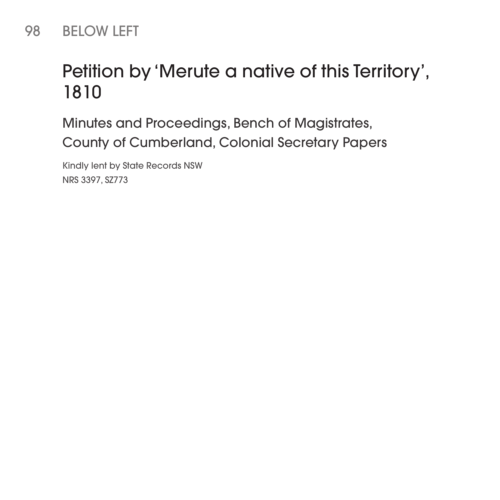#### 98 BELOW LEFT

## Petition by 'Merute a native of this Territory', 1810

Minutes and Proceedings, Bench of Magistrates, County of Cumberland, Colonial Secretary Papers

Kindly lent by State Records NSW NRS 3397, SZ773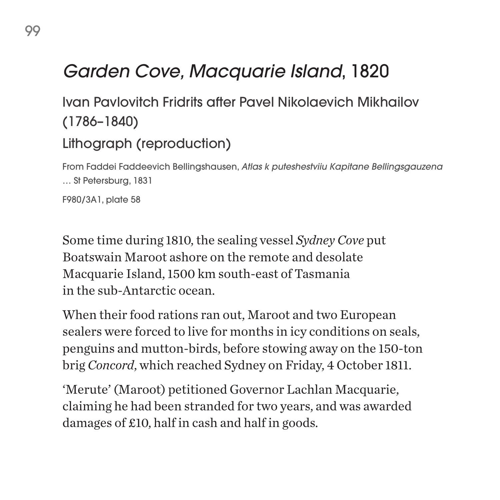# *Garden Cove, Macquarie Island*, 1820

Ivan Pavlovitch Fridrits after Pavel Nikolaevich Mikhailov (1786–1840) Lithograph (reproduction)

From Faddei Faddeevich Bellingshausen, *Atlas k puteshestviiu Kapitane Bellingsgauzena*  … St Petersburg, 1831 F980/3A1, plate 58

Some time during 1810, the sealing vessel *Sydney Cove* put Boatswain Maroot ashore on the remote and desolate Macquarie Island, 1500 km south-east of Tasmania in the sub-Antarctic ocean.

When their food rations ran out, Maroot and two European sealers were forced to live for months in icy conditions on seals, penguins and mutton-birds, before stowing away on the 150-ton brig *Concord*, which reached Sydney on Friday, 4 October 1811.

'Merute' (Maroot) petitioned Governor Lachlan Macquarie, claiming he had been stranded for two years, and was awarded damages of £10, half in cash and half in goods.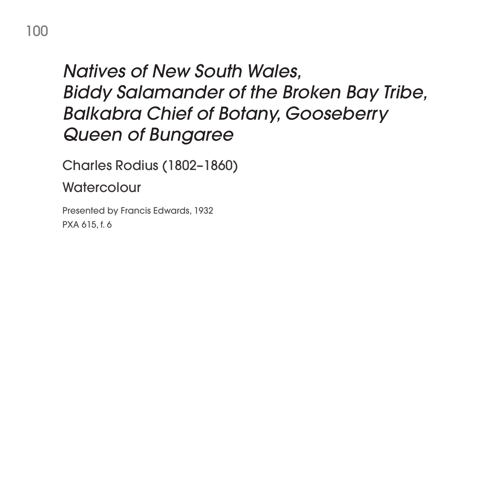#### *Natives of New South Wales, Biddy Salamander of the Broken Bay Tribe, Balkabra Chief of Botany, Gooseberry Queen of Bungaree*

Charles Rodius (1802–1860)

**Watercolour** 

Presented by Francis Edwards, 1932 PXA 615, f. 6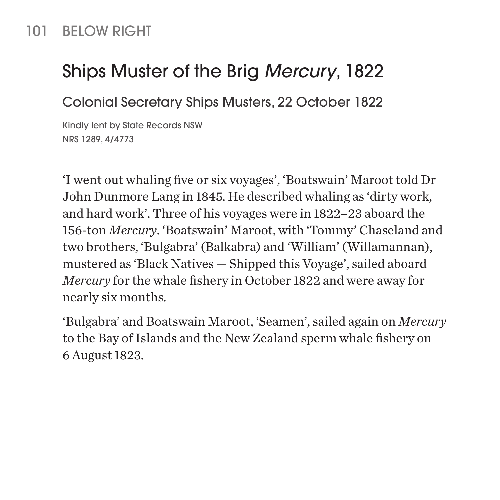#### 101 BELOW RIGHT

#### Ships Muster of the Brig *Mercury*, 1822

Colonial Secretary Ships Musters, 22 October 1822

Kindly lent by State Records NSW NRS 1289, 4/4773

'I went out whaling five or six voyages', 'Boatswain' Maroot told Dr John Dunmore Lang in 1845. He described whaling as 'dirty work, and hard work'. Three of his voyages were in 1822–23 aboard the 156-ton *Mercury*. 'Boatswain' Maroot, with 'Tommy' Chaseland and two brothers, 'Bulgabra' (Balkabra) and 'William' (Willamannan), mustered as 'Black Natives — Shipped this Voyage', sailed aboard *Mercury* for the whale fishery in October 1822 and were away for nearly six months.

'Bulgabra' and Boatswain Maroot, 'Seamen', sailed again on *Mercury* to the Bay of Islands and the New Zealand sperm whale fishery on 6 August 1823.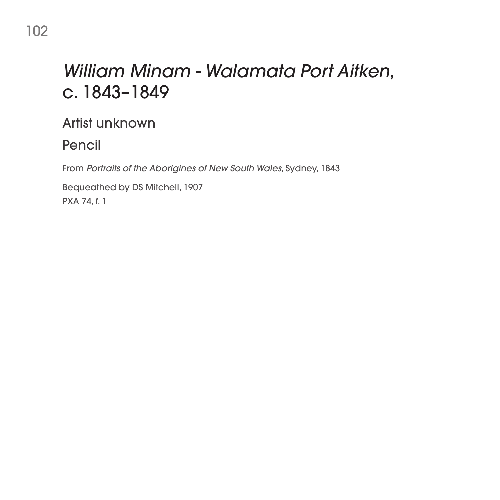# *William Minam - Walamata Port Aitken*, c. 1843–1849

Artist unknown

Pencil

From *Portraits of the Aborigines of New South Wales*, Sydney, 1843

Bequeathed by DS Mitchell, 1907 PXA 74, f. 1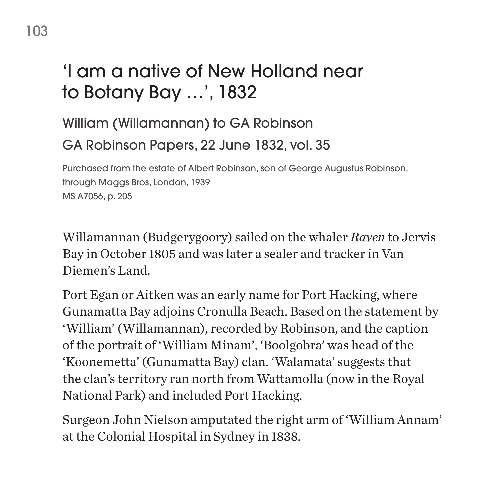## 'I am a native of New Holland near to Botany Bay …', 1832

#### William (Willamannan) to GA Robinson GA Robinson Papers, 22 June 1832, vol. 35

Purchased from the estate of Albert Robinson, son of George Augustus Robinson, through Maggs Bros, London, 1939 MS A7056, p. 205

Willamannan (Budgerygoory) sailed on the whaler *Raven* to Jervis Bay in October 1805 and was later a sealer and tracker in Van Diemen's Land.

Port Egan or Aitken was an early name for Port Hacking, where Gunamatta Bay adjoins Cronulla Beach. Based on the statement by 'William' (Willamannan), recorded by Robinson, and the caption of the portrait of 'William Minam', 'Boolgobra' was head of the 'Koonemetta' (Gunamatta Bay) clan. 'Walamata' suggests that the clan's territory ran north from Wattamolla (now in the Royal National Park) and included Port Hacking.

Surgeon John Nielson amputated the right arm of 'William Annam' at the Colonial Hospital in Sydney in 1838.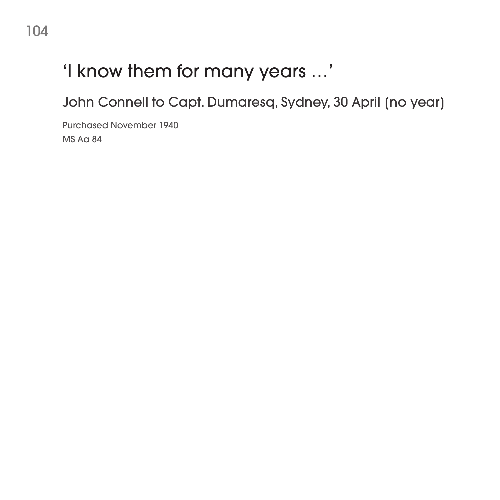# 'I know them for many years …'

John Connell to Capt. Dumaresq, Sydney, 30 April [no year]

Purchased November 1940 MS Aa 84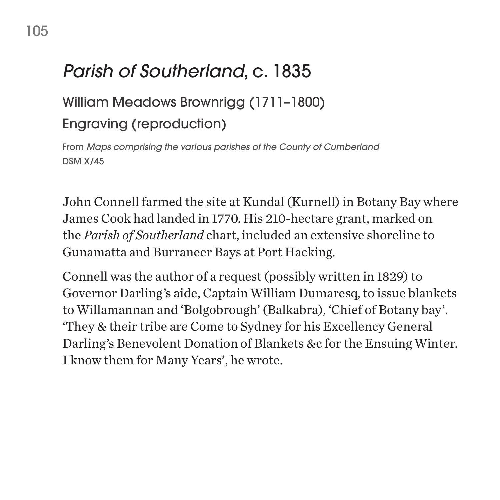# *Parish of Southerland*, c. 1835

# William Meadows Brownrigg (1711–1800)

#### Engraving (reproduction)

From *Maps comprising the various parishes of the County of Cumberland* DSM X/45

John Connell farmed the site at Kundal (Kurnell) in Botany Bay where James Cook had landed in 1770. His 210-hectare grant, marked on the *Parish of Southerland* chart, included an extensive shoreline to Gunamatta and Burraneer Bays at Port Hacking.

Connell was the author of a request (possibly written in 1829) to Governor Darling's aide, Captain William Dumaresq, to issue blankets to Willamannan and 'Bolgobrough' (Balkabra), 'Chief of Botany bay'. 'They & their tribe are Come to Sydney for his Excellency General Darling's Benevolent Donation of Blankets &c for the Ensuing Winter. I know them for Many Years', he wrote.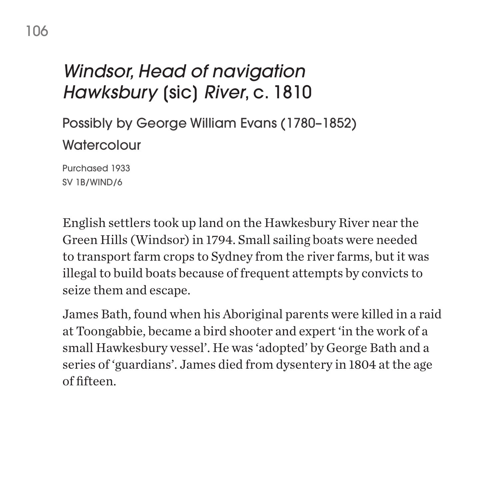# *Windsor, Head of navigation Hawksbury* [sic] *River*, c. 1810

Possibly by George William Evans (1780–1852) **Watercolour** 

Purchased 1933 SV 1B/WIND/6

English settlers took up land on the Hawkesbury River near the Green Hills (Windsor) in 1794. Small sailing boats were needed to transport farm crops to Sydney from the river farms, but it was illegal to build boats because of frequent attempts by convicts to seize them and escape.

James Bath, found when his Aboriginal parents were killed in a raid at Toongabbie, became a bird shooter and expert 'in the work of a small Hawkesbury vessel'. He was 'adopted' by George Bath and a series of 'guardians'. James died from dysentery in 1804 at the age of fifteen.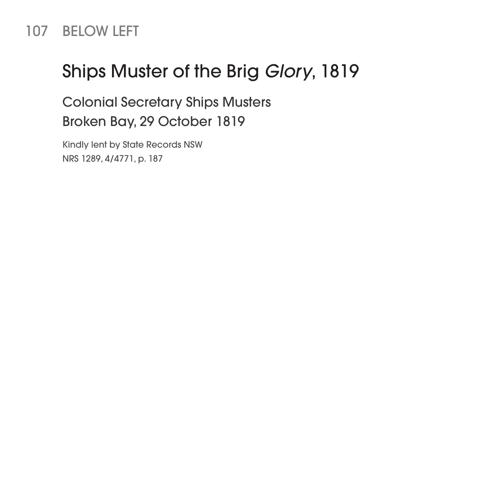#### 107 BELOW LEFT

### Ships Muster of the Brig *Glory*, 1819

Colonial Secretary Ships Musters Broken Bay, 29 October 1819

Kindly lent by State Records NSW NRS 1289, 4/4771, p. 187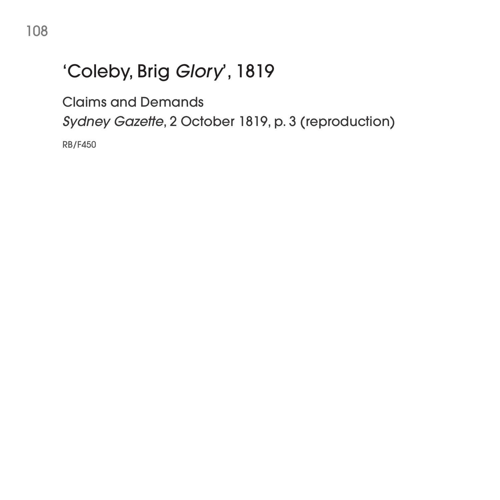# 'Coleby, Brig *Glory*', 1819

Claims and Demands

*Sydney Gazette*, 2 October 1819, p. 3 (reproduction)

RB/F450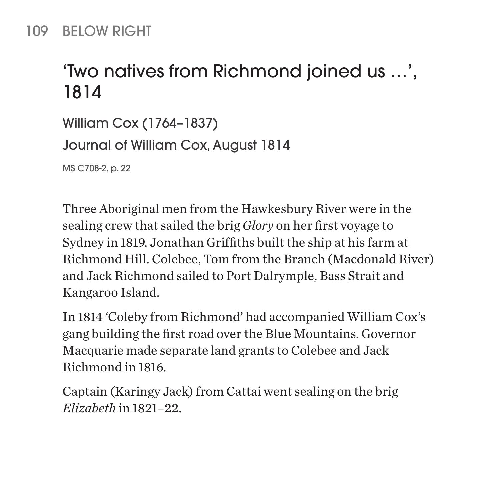### 109 BELOW RIGHT

# 'Two natives from Richmond joined us …', 1814

William Cox (1764–1837) Journal of William Cox, August 1814

MS C708-2, p. 22

Three Aboriginal men from the Hawkesbury River were in the sealing crew that sailed the brig *Glory* on her first voyage to Sydney in 1819. Jonathan Griffiths built the ship at his farm at Richmond Hill. Colebee, Tom from the Branch (Macdonald River) and Jack Richmond sailed to Port Dalrymple, Bass Strait and Kangaroo Island.

In 1814 'Coleby from Richmond' had accompanied William Cox's gang building the first road over the Blue Mountains. Governor Macquarie made separate land grants to Colebee and Jack Richmond in 1816.

Captain (Karingy Jack) from Cattai went sealing on the brig *Elizabeth* in 1821–22.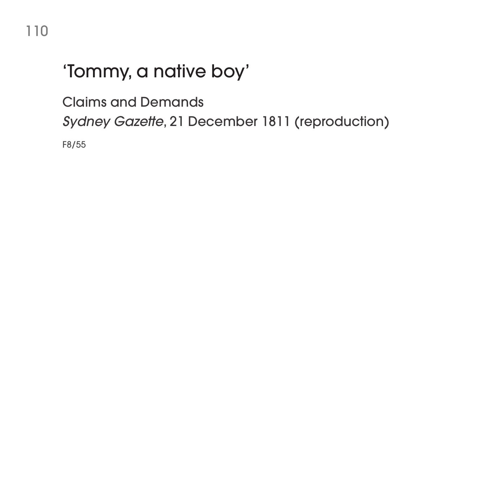# 'Tommy, a native boy'

Claims and Demands

*Sydney Gazette*, 21 December 1811 (reproduction)

F8/55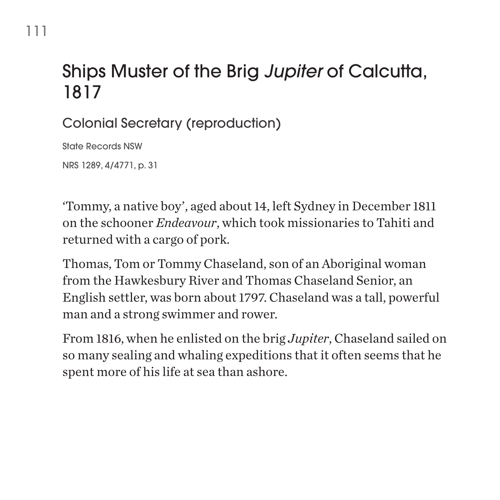# Ships Muster of the Brig *Jupiter* of Calcutta, 1817

Colonial Secretary (reproduction)

State Records NSW

111

NRS 1289, 4/4771, p. 31

'Tommy, a native boy', aged about 14, left Sydney in December 1811 on the schooner *Endeavour*, which took missionaries to Tahiti and returned with a cargo of pork.

Thomas, Tom or Tommy Chaseland, son of an Aboriginal woman from the Hawkesbury River and Thomas Chaseland Senior, an English settler, was born about 1797. Chaseland was a tall, powerful man and a strong swimmer and rower.

From 1816, when he enlisted on the brig *Jupiter*, Chaseland sailed on so many sealing and whaling expeditions that it often seems that he spent more of his life at sea than ashore.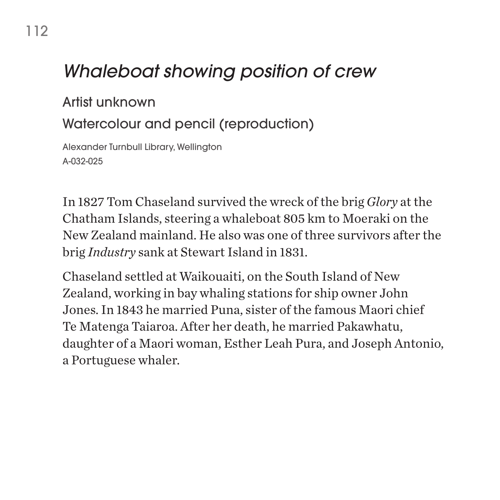# *Whaleboat showing position of crew*

#### Artist unknown

### Watercolour and pencil (reproduction)

Alexander Turnbull Library, Wellington A-032-025

In 1827 Tom Chaseland survived the wreck of the brig *Glory* at the Chatham Islands, steering a whaleboat 805 km to Moeraki on the New Zealand mainland. He also was one of three survivors after the brig *Industry* sank at Stewart Island in 1831.

Chaseland settled at Waikouaiti, on the South Island of New Zealand, working in bay whaling stations for ship owner John Jones. In 1843 he married Puna, sister of the famous Maori chief Te Matenga Taiaroa. After her death, he married Pakawhatu, daughter of a Maori woman, Esther Leah Pura, and Joseph Antonio, a Portuguese whaler.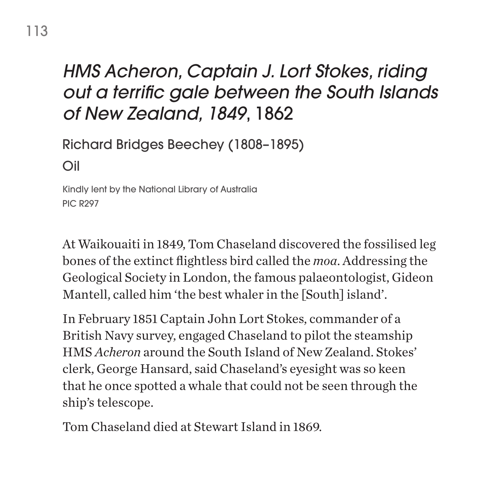# *HMS Acheron, Captain J. Lort Stokes, riding out a terrific gale between the South Islands of New Zealand, 1849*, 1862

Richard Bridges Beechey (1808–1895)

Oil

Kindly lent by the National Library of Australia PIC R297

At Waikouaiti in 1849, Tom Chaseland discovered the fossilised leg bones of the extinct flightless bird called the *moa*. Addressing the Geological Society in London, the famous palaeontologist, Gideon Mantell, called him 'the best whaler in the [South] island'.

In February 1851 Captain John Lort Stokes, commander of a British Navy survey, engaged Chaseland to pilot the steamship HMS *Acheron* around the South Island of New Zealand. Stokes' clerk, George Hansard, said Chaseland's eyesight was so keen that he once spotted a whale that could not be seen through the ship's telescope.

Tom Chaseland died at Stewart Island in 1869.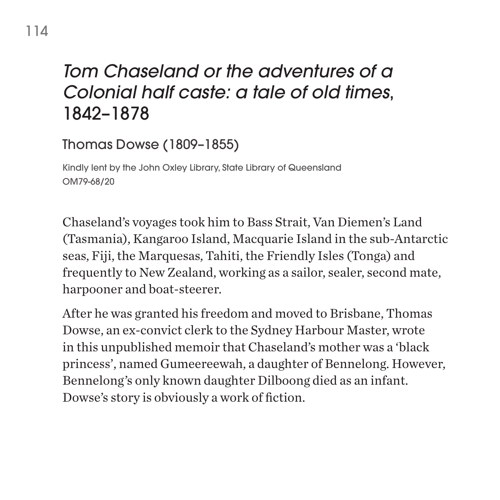# *Tom Chaseland or the adventures of a Colonial half caste: a tale of old times*, 1842–1878

Thomas Dowse (1809–1855)

Kindly lent by the John Oxley Library, State Library of Queensland OM79-68/20

Chaseland's voyages took him to Bass Strait, Van Diemen's Land (Tasmania), Kangaroo Island, Macquarie Island in the sub-Antarctic seas, Fiji, the Marquesas, Tahiti, the Friendly Isles (Tonga) and frequently to New Zealand, working as a sailor, sealer, second mate, harpooner and boat-steerer.

After he was granted his freedom and moved to Brisbane, Thomas Dowse, an ex-convict clerk to the Sydney Harbour Master, wrote in this unpublished memoir that Chaseland's mother was a 'black princess', named Gumeereewah, a daughter of Bennelong. However, Bennelong's only known daughter Dilboong died as an infant. Dowse's story is obviously a work of fiction.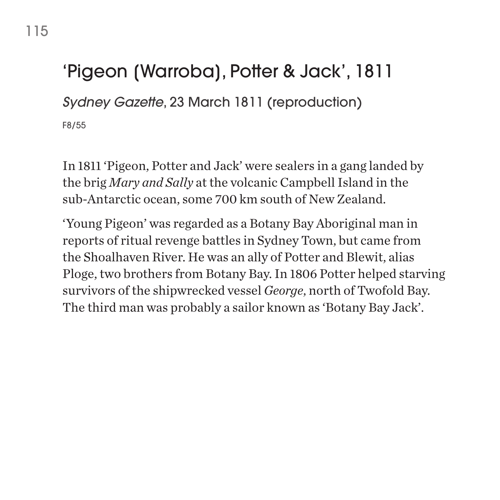# 'Pigeon [Warroba], Potter & Jack', 1811

*Sydney Gazette*, 23 March 1811 (reproduction)

F8/55

In 1811 'Pigeon, Potter and Jack' were sealers in a gang landed by the brig *Mary and Sally* at the volcanic Campbell Island in the sub-Antarctic ocean, some 700 km south of New Zealand.

'Young Pigeon' was regarded as a Botany Bay Aboriginal man in reports of ritual revenge battles in Sydney Town, but came from the Shoalhaven River. He was an ally of Potter and Blewit, alias Ploge, two brothers from Botany Bay. In 1806 Potter helped starving survivors of the shipwrecked vessel *George*, north of Twofold Bay. The third man was probably a sailor known as 'Botany Bay Jack'.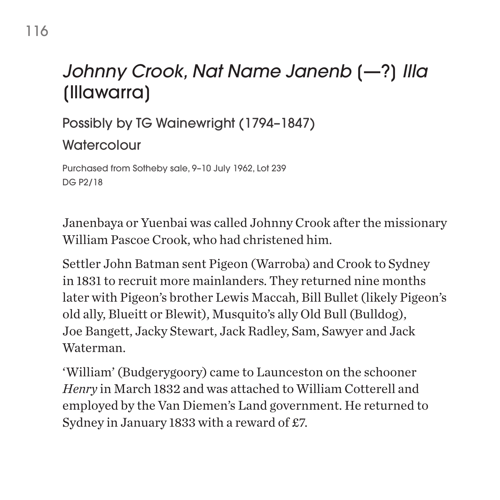# *Johnny Crook, Nat Name Janenb* [—?] *Illa*  [Illawarra]

Possibly by TG Wainewright (1794–1847)

**Watercolour** 

Purchased from Sotheby sale, 9–10 July 1962, Lot 239 DG P2/18

Janenbaya or Yuenbai was called Johnny Crook after the missionary William Pascoe Crook, who had christened him.

Settler John Batman sent Pigeon (Warroba) and Crook to Sydney in 1831 to recruit more mainlanders. They returned nine months later with Pigeon's brother Lewis Maccah, Bill Bullet (likely Pigeon's old ally, Blueitt or Blewit), Musquito's ally Old Bull (Bulldog), Joe Bangett, Jacky Stewart, Jack Radley, Sam, Sawyer and Jack Waterman.

'William' (Budgerygoory) came to Launceston on the schooner *Henry* in March 1832 and was attached to William Cotterell and employed by the Van Diemen's Land government. He returned to Sydney in January 1833 with a reward of £7.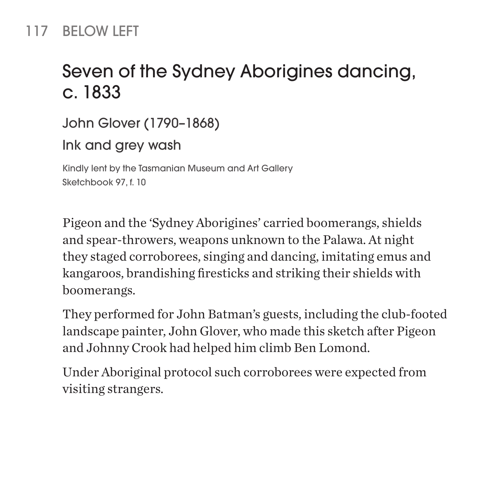### 117 BELOW LEFT

# Seven of the Sydney Aborigines dancing, c. 1833

John Glover (1790–1868) Ink and grey wash Kindly lent by the Tasmanian Museum and Art Gallery

Sketchbook 97, f. 10

Pigeon and the 'Sydney Aborigines' carried boomerangs, shields and spear-throwers, weapons unknown to the Palawa. At night they staged corroborees, singing and dancing, imitating emus and kangaroos, brandishing firesticks and striking their shields with boomerangs.

They performed for John Batman's guests, including the club-footed landscape painter, John Glover, who made this sketch after Pigeon and Johnny Crook had helped him climb Ben Lomond.

Under Aboriginal protocol such corroborees were expected from visiting strangers.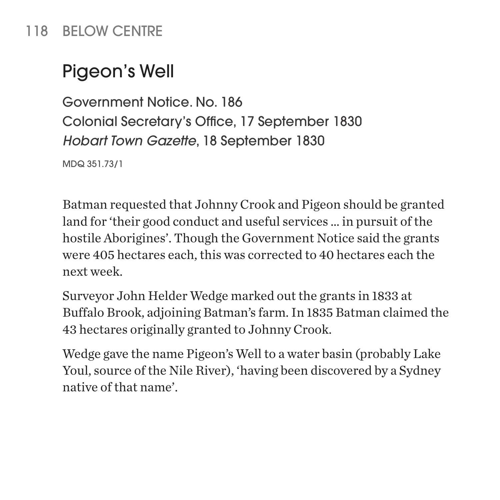### 118 BELOW CENTRE

# Pigeon's Well

Government Notice. No. 186 Colonial Secretary's Office, 17 September 1830 *Hobart Town Gazette*, 18 September 1830

MDQ 351.73/1

Batman requested that Johnny Crook and Pigeon should be granted land for 'their good conduct and useful services … in pursuit of the hostile Aborigines'. Though the Government Notice said the grants were 405 hectares each, this was corrected to 40 hectares each the next week.

Surveyor John Helder Wedge marked out the grants in 1833 at Buffalo Brook, adjoining Batman's farm. In 1835 Batman claimed the 43 hectares originally granted to Johnny Crook.

Wedge gave the name Pigeon's Well to a water basin (probably Lake Youl, source of the Nile River), 'having been discovered by a Sydney native of that name'.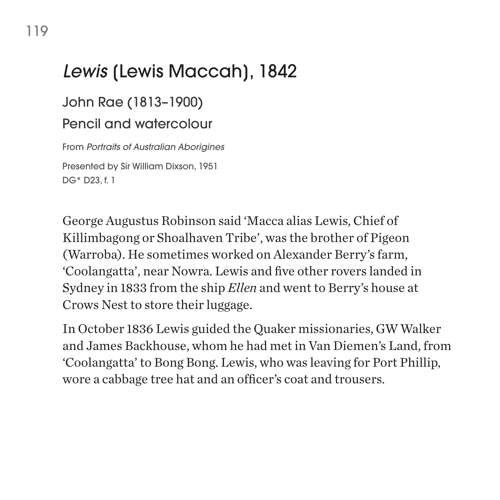# *Lewis* [Lewis Maccah], 1842

### John Rae (1813–1900) Pencil and watercolour

From *Portraits of Australian Aborigines* Presented by Sir William Dixson, 1951 DG\* D23, f. 1

George Augustus Robinson said 'Macca alias Lewis, Chief of Killimbagong or Shoalhaven Tribe', was the brother of Pigeon (Warroba). He sometimes worked on Alexander Berry's farm, 'Coolangatta', near Nowra. Lewis and five other rovers landed in Sydney in 1833 from the ship *Ellen* and went to Berry's house at Crows Nest to store their luggage.

In October 1836 Lewis guided the Quaker missionaries, GW Walker and James Backhouse, whom he had met in Van Diemen's Land, from 'Coolangatta' to Bong Bong. Lewis, who was leaving for Port Phillip, wore a cabbage tree hat and an officer's coat and trousers.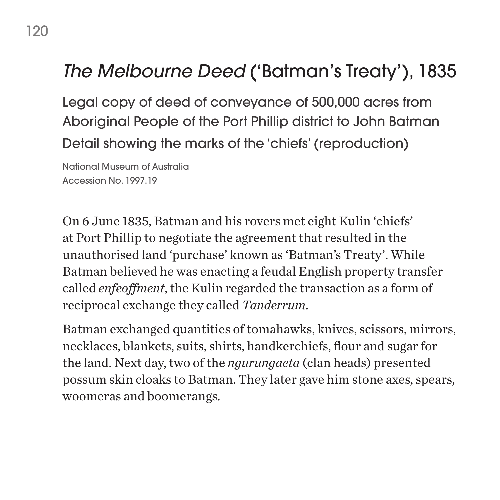# *The Melbourne Deed* ('Batman's Treaty'), 1835

Legal copy of deed of conveyance of 500,000 acres from Aboriginal People of the Port Phillip district to John Batman Detail showing the marks of the 'chiefs' (reproduction)

National Museum of Australia Accession No. 1997.19

On 6 June 1835, Batman and his rovers met eight Kulin 'chiefs' at Port Phillip to negotiate the agreement that resulted in the unauthorised land 'purchase' known as 'Batman's Treaty'. While Batman believed he was enacting a feudal English property transfer called *enfeoffment*, the Kulin regarded the transaction as a form of reciprocal exchange they called *Tanderrum*.

Batman exchanged quantities of tomahawks, knives, scissors, mirrors, necklaces, blankets, suits, shirts, handkerchiefs, flour and sugar for the land. Next day, two of the *ngurungaeta* (clan heads) presented possum skin cloaks to Batman. They later gave him stone axes, spears, woomeras and boomerangs.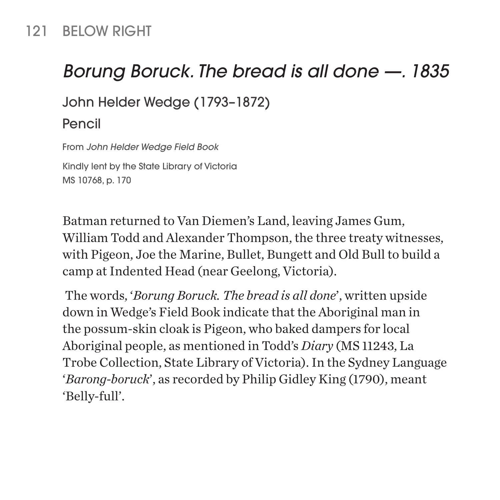### 121 BELOW RIGHT

## *Borung Boruck. The bread is all done —. 1835*

John Helder Wedge (1793–1872)

#### Pencil

From *John Helder Wedge Field Book* Kindly lent by the State Library of Victoria MS 10768, p. 170

Batman returned to Van Diemen's Land, leaving James Gum, William Todd and Alexander Thompson, the three treaty witnesses, with Pigeon, Joe the Marine, Bullet, Bungett and Old Bull to build a camp at Indented Head (near Geelong, Victoria).

 The words, '*Borung Boruck. The bread is all done*', written upside down in Wedge's Field Book indicate that the Aboriginal man in the possum-skin cloak is Pigeon, who baked dampers for local Aboriginal people, as mentioned in Todd's *Diary* (MS 11243, La Trobe Collection, State Library of Victoria). In the Sydney Language '*Barong-boruck*', as recorded by Philip Gidley King (1790), meant 'Belly-full'.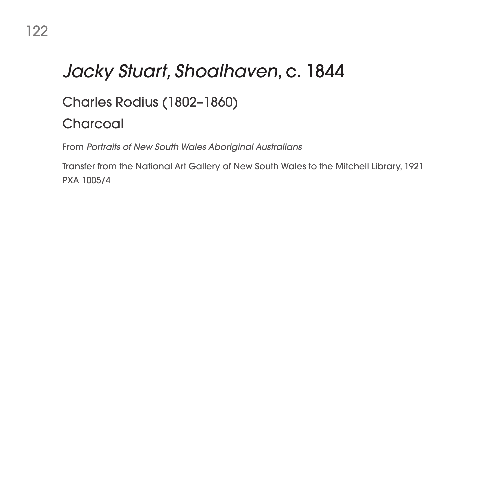# *Jacky Stuart, Shoalhaven*, c. 1844

### Charles Rodius (1802–1860)

#### **Charcoal**

From *Portraits of New South Wales Aboriginal Australians*

Transfer from the National Art Gallery of New South Wales to the Mitchell Library, 1921 PXA 1005/4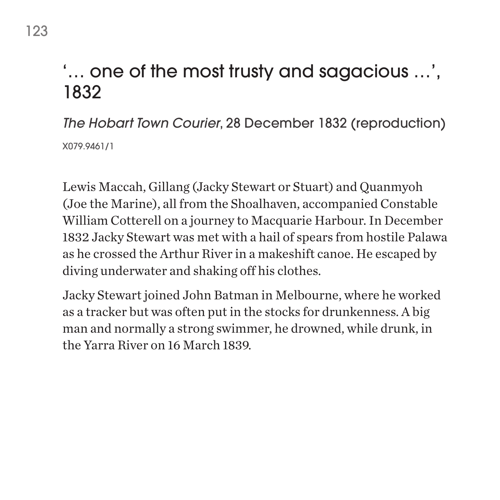# '… one of the most trusty and sagacious …', 1832

*The Hobart Town Courier*, 28 December 1832 (reproduction) X079.9461/1

Lewis Maccah, Gillang (Jacky Stewart or Stuart) and Quanmyoh (Joe the Marine), all from the Shoalhaven, accompanied Constable William Cotterell on a journey to Macquarie Harbour. In December 1832 Jacky Stewart was met with a hail of spears from hostile Palawa as he crossed the Arthur River in a makeshift canoe. He escaped by diving underwater and shaking off his clothes.

Jacky Stewart joined John Batman in Melbourne, where he worked as a tracker but was often put in the stocks for drunkenness. A big man and normally a strong swimmer, he drowned, while drunk, in the Yarra River on 16 March 1839.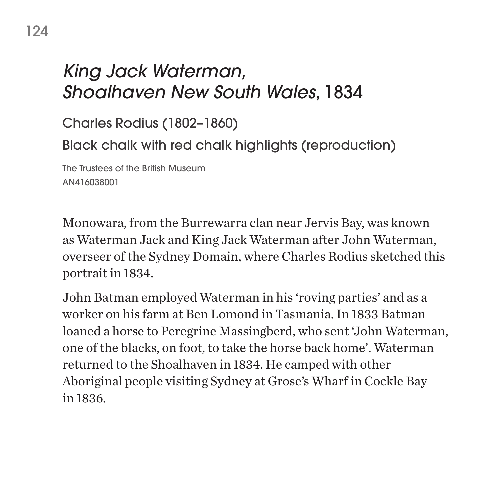# *King Jack Waterman, Shoalhaven New South Wales*, 1834

Charles Rodius (1802–1860)

Black chalk with red chalk highlights (reproduction)

The Trustees of the British Museum AN416038001

Monowara, from the Burrewarra clan near Jervis Bay, was known as Waterman Jack and King Jack Waterman after John Waterman, overseer of the Sydney Domain, where Charles Rodius sketched this portrait in 1834.

John Batman employed Waterman in his 'roving parties' and as a worker on his farm at Ben Lomond in Tasmania. In 1833 Batman loaned a horse to Peregrine Massingberd, who sent 'John Waterman, one of the blacks, on foot, to take the horse back home'. Waterman returned to the Shoalhaven in 1834. He camped with other Aboriginal people visiting Sydney at Grose's Wharf in Cockle Bay in 1836.